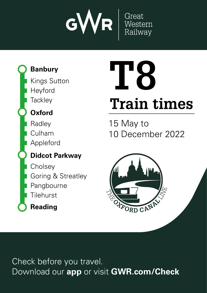

## **Banbury**

**Tackley** Heyford Kings Sutton

## **Oxford**

Appleford Culham Radley

## **Didcot Parkway**

**Cholsey** Pangbourne **Tilehurst** Goring & Streatley



# **Train times T8**

15 May to 10 December 2022



Check before you travel. Download our **app** or visit **GWR.com/Check**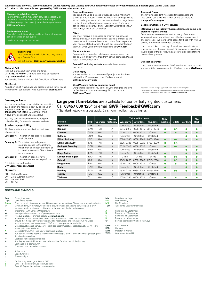**This timetable shows all services between Didcot Parkway and Oxford; and GWR and local services between Oxford and Banbury (The Oxford Canal line). All trains in this timetable are operated by GWR unless otherwise stated.**

#### **Changes to published times**

Improvement works may affect services, especially at<br>weekends. Services may also be different on public **GWR.com/check** 

#### **Replacement buses**

Animals†, non-folding bikes, and large items of luggage<br>can't be carried on our buses. **03457 000 125\* GWR.Feedback@GWR.com GWR.com/contact** tg<br>.<br>. es<br>and ca

h Assistance dogs can be carried.

#### **Penalty Fares**

un<br><mark>en</mark><br>en If you don't have a valid ticket you may have to<br>pay a Penalty Fare. **VA** pay a Penalty Fare. Find out more at **GWR.com/revenueprotection**

#### **National Rail**

Find out more about train times and fares. Call **03457 48 49 50**\* (24 hours, calls may be recorded) or go to **nationalrail.co.uk** Standard network charges apply. Calls from mobiles may be higher. \* al<br>Download our app to purchase the purchase time to purchase the purchase the purchase the purchase the purchase the checket<br>District purchase the purchase the purchase the purchase the checket same that the purchase the <mark>co</mark><br>fa<br>s ı ars.<br>Don't miss out on our later<br>Special deals on the special deals of the special deals are the special deals are the special deals are the special deals are the special deals are the special deals are the special deals a ar<sub>i</sub><br>at<br>ou

You can also find the National Rail Conditions of Travel here.

#### **PlusBus** ¬

An add-on ticket which gives you discounted bus travel to and from many of our stations. Find out more at **plusbus.info**

#### **Bags and Luggage**

You can bring up to 3 pieces of luggage, with a maximum size of 30 x 70 x 90cm. Small and medium sized bags can be stored under your seats or in the overhead racks. Large items can be stored in the dedicated luggage areas. Surfboards can't be taken on our IET trains. Look for GWR trains shown with a  $\blacksquare$  symbol in our timetables.

#### **Bikes**

You must reserve a bike space on many of our services. These are shown in our timetables. Space is limited, so we have a strict first-come, first-served policy. Book a space at<br>your nearest staffed station, through our Customer Support team, or when you buy your ticket online at **GWR.com** Tyc<br>The<br>Vo **More information**<br>**More formation**<br>**More in** the formation

#### **Short platforms**

#### **Delay Repay**

#### **Great Western Railway Customer Panel**

#### **Transport Focus**

The UK's independent watchdog for passengers and<br>road users. Call **0300 123 2350**\* or find out more at **transportfocus.org.uk**

#### **Seat reservations on GWR services**

#### $\boxtimes$  **(Shown on our Intercity Express Trains, and some long distance regional trains)**

Reservations are recommended on many of our trains. When you try and buy a ticket, we will allocate you a seat if one is available. We leave some space for those with walk-up tickets, or who may have been disrupted. **Train times ne**<br>ior<br>utaila<br>aila<br>pes<br>ass d and visit **GWR.com/Check**<br>
and visit **A**<br>
and visit on

#### **Our seat guarantee**

#### **Passenger Assist**

You can arrange help, check station accessibility, buy a ticket and reserve a seat by calling us on Freephone **0800 197 1329** or by text relay **18001 0800 197 1329** (open 0600 to 2300, 7 days a week, except Christmas Day).

You may book assistance by completing the online booking form available on our website.

#### **Station accessibility**

| All of our stations are classified for their level |  |  |  |
|----------------------------------------------------|--|--|--|
| of accessibility:                                  |  |  |  |

| <b>Category A:</b> This station has step-free access |
|------------------------------------------------------|
| to all platforms                                     |

**Category B:** This station has a degree of step-free access to the platform which may be in both directions or in one direction only. Check details on our website **Category C:** This station does not have

step-free access to any platform

#### Full details can be found at **GWR.com/PassengerAssist**

#### **Operator**

- CH Chiltern Railways<br>GW Great Western Ra
- Great Western Railway
- NR Network Rail
- XR TfL Rail

#### **NOTES AND SYMBOLS**

**Bold** Through service

### Light Connecting service<br> **Green** Runs on certain day

- **Green** Runs on certain days only, or has differences at some stations. Please check notes for details Ć Minimum time, in minutes, you need to allow between connecting services (this is only shown at stations where this differs from the standard 5 minute allowance)
- 
- **THE INTERNATE SET INTERNATIONAL SET INTERNATIONAL PROPERTY INTERNATIONAL PROPERTY**<br>The Heritage railway connection Operating
- > Heritage railway connection. Operating days vary ¬ PlusBus available. For more details, visit **plusbus.info**
- <sup>m</sup> SuperFast service. Train makes fewer stops than normal. Check before you board to<br>ensure that it stops at your destination. Bike reservations are compulsory. First Class accommodation, seat reservations, Wi-Fi and power points are available
- Bike reservations are compulsory. First Class accommodation, seat reservations, Wi-Fi and power points are available
- $\frac{f}{f}$  Electrostar Train. Wi-Fi and power points are available<br>
Bus service We are not able to convey beavy lugged Bus service. We are not able to convey heavy luggage, prams, bikes or animals (except guide
- dogs) on bus services
- $\overline{13}$  Seat reservations recommended<br>  $\overline{14}$  A trolley service of drinks and sna
- | A trolley service of drinks and snacks is available for all or part of the journey e Continued in a later column
- $f \rightarrow$  Continued from an earlier column
- 
- **a** Arrival time<br>**d** Departure t
- **d** Departure time
- **p** Previous night
- 
- **c** On Saturday mornings arrives at 0120 **e** Until 11 September arrives 1 minute earlier
- **f** From 18 September arrives 1 minute earlier

|  |  |  |                                                   | <b>Large print timetables</b> are available for our partially sighted customers. |
|--|--|--|---------------------------------------------------|----------------------------------------------------------------------------------|
|  |  |  | Call 03457 000 125* or email GWR.Feedback@GWR.com |                                                                                  |
|  |  |  |                                                   |                                                                                  |

| have to<br>protection<br>rded)<br>avel here. | have a strict first-come, first-served policy. Book a space at<br>your nearest staffed station, through our Customer Support<br>team, or when you buy your ticket online at <b>GWR.com</b><br><b>Short platforms</b><br>Some stations have short platforms. In some cases, you<br>can only join or leave the train from certain carriages. Please<br>listen for announcements.<br>Free Wi-Fi and plug sockets are available on most of<br>our trains.<br>Delay Repay<br>You are entitled to compensation if your journey has been<br>delayed for 15 minutes or more. Find out more at<br><b>GWR.com/DelayRepay</b> |            |                 |                           |                 |                                                | tickets, or who may have been disrupted.<br>If you buy a ticket on the day of travel, we may allocate you<br>a space instead of a specific seat. Sit in any unreserved seat<br>in your class of travel, following any current social distancing<br>rules as best you can.<br>Our seat guarantee<br>If you have a reservation on a GWR service and have to stand,<br>you are entitled to compensation. Find out more at GWR.com | one is available. We leave some space for those with walk-up |                |                 |                     |
|----------------------------------------------|--------------------------------------------------------------------------------------------------------------------------------------------------------------------------------------------------------------------------------------------------------------------------------------------------------------------------------------------------------------------------------------------------------------------------------------------------------------------------------------------------------------------------------------------------------------------------------------------------------------------|------------|-----------------|---------------------------|-----------------|------------------------------------------------|--------------------------------------------------------------------------------------------------------------------------------------------------------------------------------------------------------------------------------------------------------------------------------------------------------------------------------------------------------------------------------------------------------------------------------|--------------------------------------------------------------|----------------|-----------------|---------------------|
| ravel to and<br>us.info                      | Great Western Railway Customer Panel<br>Our panel is set up for you to tell us your thoughts and give<br>us feedback on how we are doing. Find out more at<br><b>GWR.com/Panel</b>                                                                                                                                                                                                                                                                                                                                                                                                                                 |            |                 |                           |                 |                                                | * Standard network charges apply. Calls from mobiles may be higher<br>All information correct at time of publication. Errors and omissions excepted.<br>Download the most up-to-date version at GWR.com/timetables                                                                                                                                                                                                             |                                                              |                |                 |                     |
|                                              | Large print timetables are available for our partially sighted customers.<br>Call 03457 000 125 $*$ or email GWR.Feedback@GWR.com<br>* Standard network charges apply. Calls from mobiles may be higher.                                                                                                                                                                                                                                                                                                                                                                                                           |            |                 |                           |                 |                                                |                                                                                                                                                                                                                                                                                                                                                                                                                                |                                                              |                |                 |                     |
| <b>Station</b>                               |                                                                                                                                                                                                                                                                                                                                                                                                                                                                                                                                                                                                                    | <b>CRS</b> | <b>Operator</b> | <b>Access</b><br>Category | <b>Weekdays</b> | <b>Ticket office hours</b><br><b>Saturdays</b> | <b>Sundays</b>                                                                                                                                                                                                                                                                                                                                                                                                                 | <b>Ticket</b><br>machine                                     | <b>Toilets</b> | <b>Car Park</b> | <b>Bike</b><br>Rack |
| Appleford                                    |                                                                                                                                                                                                                                                                                                                                                                                                                                                                                                                                                                                                                    | APF        | GW              | C                         | Unstaffed       | Unstaffed                                      | Unstaffed                                                                                                                                                                                                                                                                                                                                                                                                                      |                                                              |                |                 |                     |
| <b>Banbury</b>                               |                                                                                                                                                                                                                                                                                                                                                                                                                                                                                                                                                                                                                    | <b>BAN</b> | <b>CH</b>       | А                         | 0545-2015       | 0635-1915                                      | 0810 - 1740                                                                                                                                                                                                                                                                                                                                                                                                                    |                                                              | ⊜              |                 | e                   |
| Cholsey                                      |                                                                                                                                                                                                                                                                                                                                                                                                                                                                                                                                                                                                                    | CHO        | GW              | $\mathsf{C}$              | 0610-1240       | 0700-1330                                      | Closed                                                                                                                                                                                                                                                                                                                                                                                                                         |                                                              |                |                 |                     |
| Culham                                       |                                                                                                                                                                                                                                                                                                                                                                                                                                                                                                                                                                                                                    | <b>CUM</b> | GW              | B                         | Unstaffed       | Unstaffed                                      | Unstaffed                                                                                                                                                                                                                                                                                                                                                                                                                      |                                                              |                |                 |                     |
| <b>Didcot Parkway</b>                        |                                                                                                                                                                                                                                                                                                                                                                                                                                                                                                                                                                                                                    | <b>DID</b> | GW              | $\overline{A}$            | 0600-1940       | 0630-1940                                      | 0800-1940                                                                                                                                                                                                                                                                                                                                                                                                                      |                                                              | $\bullet$      |                 |                     |
| <b>Ealing Broadway</b>                       |                                                                                                                                                                                                                                                                                                                                                                                                                                                                                                                                                                                                                    | EAL        | <b>XR</b>       | B                         | 0535-2325       | 0535-2325                                      | 0700-2030                                                                                                                                                                                                                                                                                                                                                                                                                      |                                                              | ی ک            |                 |                     |
| <b>Goring &amp; Streatley</b>                |                                                                                                                                                                                                                                                                                                                                                                                                                                                                                                                                                                                                                    | GOR        | GW              | $\overline{A}$            | 0615-1245       | 0700-1330                                      | Closed                                                                                                                                                                                                                                                                                                                                                                                                                         |                                                              | $\bullet$      |                 |                     |
| Heyford                                      |                                                                                                                                                                                                                                                                                                                                                                                                                                                                                                                                                                                                                    | <b>HYD</b> | GW              | B                         | Unstaffed       | Unstaffed                                      | Unstaffed                                                                                                                                                                                                                                                                                                                                                                                                                      |                                                              |                |                 |                     |
| <b>Kings Sutton</b>                          |                                                                                                                                                                                                                                                                                                                                                                                                                                                                                                                                                                                                                    | <b>KGS</b> | CH              | B                         | Unstaffed       | Unstaffed                                      | Unstaffed                                                                                                                                                                                                                                                                                                                                                                                                                      |                                                              |                |                 |                     |
| <b>London Paddington</b>                     |                                                                                                                                                                                                                                                                                                                                                                                                                                                                                                                                                                                                                    | PAD        | <b>NR</b>       | A                         | 24 hrs          | 24 hrs                                         | 24 hrs                                                                                                                                                                                                                                                                                                                                                                                                                         |                                                              | ی ک            |                 |                     |
| Oxford                                       |                                                                                                                                                                                                                                                                                                                                                                                                                                                                                                                                                                                                                    | <b>OXF</b> | GW              | $\overline{A}$            | 0545-2000       | 0730-2000                                      | 0715-2000                                                                                                                                                                                                                                                                                                                                                                                                                      | ō                                                            | $\bullet$      |                 |                     |
| Pangbourne                                   |                                                                                                                                                                                                                                                                                                                                                                                                                                                                                                                                                                                                                    | <b>PAN</b> | GW              | B                         | 0620-1250       | 0700-1330                                      | Closed                                                                                                                                                                                                                                                                                                                                                                                                                         |                                                              |                |                 |                     |
| Radley                                       |                                                                                                                                                                                                                                                                                                                                                                                                                                                                                                                                                                                                                    | <b>RAD</b> | GW              | B                         | Unstaffed       | Unstaffed                                      | Unstaffed                                                                                                                                                                                                                                                                                                                                                                                                                      |                                                              |                |                 |                     |
| Reading                                      |                                                                                                                                                                                                                                                                                                                                                                                                                                                                                                                                                                                                                    | <b>RDG</b> | <b>NR</b>       | A                         | 0515-2245       | 0530-2245                                      | 0715-2245                                                                                                                                                                                                                                                                                                                                                                                                                      | ●                                                            | $\bullet$      |                 |                     |
| <b>Tackley</b>                               |                                                                                                                                                                                                                                                                                                                                                                                                                                                                                                                                                                                                                    | <b>TAC</b> | GW              | B                         | Unstaffed       | Unstaffed                                      | Unstaffed                                                                                                                                                                                                                                                                                                                                                                                                                      |                                                              |                |                 |                     |

Service operated by Chiltern Railways

**MM** Monday mornings<br>**MO** Mondays only **MO** Mondays only<br>**MX** Not Mondays Not Mondays **TSM** Tuesday to Saturday mornings **A** Runs until 10 September<br>**B** Runs from 17 September **B** Runs from 17 September<br>**C** Runs until 11 September **C** Runs until 11 September<br> **D** Runs from 18 September **D** Runs from 18 September<br>**CH** Service operated by Chilt

**GMV** Great Malvern<br> **HED** Hereford **HFD** Hereford<br>**MIM** Moreton-i **MIM** Moreton-in-Marsh<br>**WOS** Worcester Shrub H Worcester Shrub Hill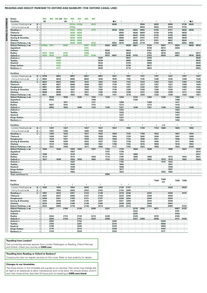#### **READING AND DIDCOT PARKWAY TO OXFORD AND BANBURY (THE OXFORD CANAL LINE)**

|                  | <b>Notes</b>                          | <b>MO</b>         |                | МX         | MX CH   | МO                   | <b>MO</b>    | <b>MX</b>          | <b>MX</b>    | <b>MX</b>          |                   |             |      |                   |             |              |                   |                    |                   |             |                    |              |                   |         |         |
|------------------|---------------------------------------|-------------------|----------------|------------|---------|----------------------|--------------|--------------------|--------------|--------------------|-------------------|-------------|------|-------------------|-------------|--------------|-------------------|--------------------|-------------------|-------------|--------------------|--------------|-------------------|---------|---------|
| <b>MONDAYSTO</b> | <b>Facilities</b>                     | 粤                 |                |            |         | ₩                    | <b>F</b>     | 4                  |              |                    |                   |             | – IR | s                 |             |              | ı                 |                    | ¥                 |             | x                  |              | ı                 | - IR    |         |
|                  | London Paddington $\Theta$<br>(f) d   |                   |                |            |         |                      | 2327p        | 2330 <sub>p</sub>  |              | 0032               |                   |             | 0505 | $\cdot$           |             |              | 0556              |                    | 0625              | $\cdot$     | 0656               |              | 0726              | 0820    |         |
|                  |                                       |                   |                |            |         |                      |              |                    |              |                    |                   |             |      |                   |             |              |                   |                    |                   |             |                    |              |                   |         |         |
|                  | Ealing Broadway $\bullet$<br>3 d      |                   |                |            |         |                      | 2335p        |                    |              |                    |                   |             |      | $\cdot$           | ٠           |              | 0604              |                    | 0634              | à.          | 0704               | ×            | 0734              |         |         |
|                  | $①$ d<br>Reading                      |                   |                |            |         |                      | 0024         | 0026               | ÷.           | 0115               |                   |             | 0539 | 0549              |             | 0624         | 0655              |                    | 0725              | ä,          | 0751               |              | 0826              | 0846    |         |
|                  | <b>Tilehurst</b><br>d                 |                   |                |            |         | ٠                    | 0028         | 0030               | ×.           |                    | $\cdot$           | ٠           |      | 0555              | ٠           | 0628         | 0659              | ٠                  | 0729              | ٠           | 0755               | ٠            | 0830              |         |         |
|                  | Pangbourne<br>d                       |                   |                |            |         |                      | 0032         | 0034               |              |                    |                   |             |      | 0559              |             | 0632         | 0703              |                    | 0733              | ٠           | 0759               | ×            | 0835              |         |         |
| <b>FRIDAYS</b>   | <b>Goring &amp; Streatley</b><br>d    |                   |                |            |         |                      | 0036         | 0038               |              |                    |                   |             |      | 0604              | ٠           | 0637         | 0707              | ٠                  | 0737              | ٠           | 0803               | $\cdot$      | 0839              |         |         |
|                  | Cholsey<br>d                          |                   |                |            |         |                      | 0040         | 0042               |              |                    |                   |             |      | 0608              |             | 0642         | 0711              |                    | 0741              |             | 0807               |              | 0844              |         |         |
|                  | Didcot Parkway = Mi<br>a              |                   |                |            |         |                      | 0048         | 0050               |              | 0132               |                   |             | 0552 | 0616              |             | 0649         | 0718              |                    | 0750              | ٠           | 0815               | $\cdot$      | 0852              | 0900    |         |
|                  | Didcot Parkway = Wi<br>d              | 2359 <sub>p</sub> | 0011           |            |         | 0045                 |              |                    | 0057         | 0133               | $\cdot$           | 0520        | 0553 | $\cdot$           | 0629        | 0651         | $\cdot$           | 0734               |                   | 0807        |                    | 0834         | $\cdot$           | 0905    | 0910    |
|                  | Appleford<br>$\epsilon$               |                   |                |            |         |                      |              | ×                  | 0101         | ×                  | $\cdot$           |             |      | $\cdot$           | ٠           | ٠            | ٠                 | 0738               | $\cdot$           | 0812        | $\cdot$            | 0838         | ٠                 |         |         |
|                  | Culham<br>d                           |                   |                |            |         |                      |              |                    | 0104         |                    |                   | 0525        |      |                   | 0634        |              |                   | 0741               |                   | 0814        |                    | $\cdot$      |                   |         |         |
|                  | Radley<br>d                           | 0014              | 0018           |            | ×       | 0110                 |              | ×                  | 0108         | ×.                 | $\cdot$           | 0529        | ٠    | $\cdot$           | 0638        | $\cdot$      | ٠                 | 0745               | $\cdot$           | 0818        | $\cdot$            | 0843         | $\epsilon$        |         | 0917    |
|                  | Oxford $\equiv$<br>a                  | 0029              | 0026           |            |         | 0125                 |              |                    | 0117         | 0146               |                   | 0537        | 0607 | $\cdot$           | 0646        | 0703         |                   | 0753               |                   | 0826        |                    | 0851         | ٠                 | 0918    | 0925    |
|                  | Oxford $\equiv$<br>d                  |                   |                |            | 0040    |                      |              |                    |              |                    | 0520              |             |      | $\cdot$           | 0647        |              | à.                | 0755               | $\cdot$           |             |                    |              | ×,                |         | 0926    |
|                  | <b>Tackley</b><br>d                   |                   |                |            | 0050    |                      |              |                    |              |                    | 0529              |             |      |                   | 0656        |              |                   | 0804               |                   |             |                    |              |                   |         | 0935    |
|                  | Heyford<br>d                          |                   |                |            | 0055    |                      |              |                    |              |                    | 0534              |             |      | ×                 | 0700        |              | ٠                 | 0808               | $\cdot$           | ٠           |                    |              | ٠                 |         | 0939    |
|                  | <b>Kings Sutton</b>                   | a                 |                |            | 0103    |                      |              |                    |              |                    | 0542              |             |      |                   | 0709        |              |                   | 0817               |                   |             |                    |              |                   |         | 0948    |
|                  | Banbury =                             | a                 | ×              |            | 0111    |                      |              |                    |              |                    | 0548              |             |      |                   | 0714        |              | ٠                 | 0823               | $\cdot$           |             |                    |              | ٠                 |         | 0953    |
|                  |                                       |                   |                |            |         |                      |              |                    |              |                    |                   |             |      |                   |             |              |                   |                    |                   |             |                    |              |                   |         |         |
|                  | <b>Facilities</b>                     | Ŧ                 |                |            | ÷       |                      | Ŧ            |                    | 4            |                    | Ŧ                 |             | Ŧ    |                   | Ŧ           |              | Ŧ                 |                    | ÷                 |             | s                  |              | Ŧ                 |         | ÷       |
|                  |                                       |                   |                |            |         |                      |              |                    |              |                    |                   |             |      |                   |             |              |                   |                    |                   |             |                    |              |                   |         |         |
|                  | London Paddington $\bullet$<br>15 d   | 0756              |                |            | 0822    |                      | 0857         |                    | 0927         |                    | 0957              |             | 1027 | $\cdot$           | 1057        |              | 1127              |                    | 1157              |             | 1227               |              | 1257              |         | 1327    |
|                  | $3$ d<br>Ealing Broadway $\bullet$    | 0804              | $\cdot$        |            | 0832    | $\ddot{\phantom{a}}$ | 0905         | $\cdot$            | 0935         | $\cdot$            | 1005              | $\cdot$     | 1035 | $\epsilon$        | 1105        | $\cdot$      | 1135              | $\cdot$            | 1205              | $\epsilon$  | 1235               | $\cdot$      | 1308              | $\cdot$ | 1336    |
|                  | $\circledcirc$ d<br>Reading =         | 0853              |                |            | 0923    | $\cdot$              | 0955         | $\cdot$            | 1023         |                    | 1053              | $\cdot$     | 1126 | $\cdot$           | 1153        |              | 1223              |                    | 1253              | $\cdot$     | 1323               |              | 1355              |         | 1425    |
|                  | <b>Tilehurst</b><br>$\epsilon$        | 0857              |                |            | 0927    | $\cdot$              | 0959         | $\cdot$            | 1028         | ٠                  | 1057              | $\cdot$     | 1130 | $\cdot$           | 1157        |              | 1227              |                    | 1257              | $\cdot$     | 1327               | ٠            | 1359              |         | 1430    |
|                  | Pangbourne                            | 0901              |                |            | 0931    |                      | 1003         |                    | 1032         |                    | 1101              |             | 1134 |                   | 1201        |              | 1232              |                    | 1301              | $\cdot$     | 1331               |              | 1403              |         | 1434    |
|                  | <b>Goring &amp; Streatley</b>         | 0905              | ٠              |            | 0935    | $\cdot$              | 1007         | $\cdot$            | 1036         | $\cdot$            | 1105              | ٠           | 1138 | $\cdot$           | 1205        | $\cdot$      | 1236              | $\cdot$            | 1305              | $\cdot$     | 1335               | $\cdot$      | 1407              | $\cdot$ | 1438    |
|                  | <b>Cholsey</b><br>d                   | 0909              |                |            | 0939    |                      | 1011         |                    | 1041         |                    | 1109              |             | 1142 | $\cdot$           | 1209        |              | 1241              |                    | 1309              | $\cdot$     | 1339               |              | 1411              |         | 1442    |
|                  | Didcot Parkway = Mi<br>a              | 0921              | $\cdot$        |            | 0949    | $\cdot$              | 1020         | $\cdot$            | 1052         | $\cdot$            | 1120              | $\cdot$     | 1151 | $\cdot$           | 1218        | $\cdot$      | 1250              | $\cdot$            | 1320              | $\cdot$     | 1349               | $\cdot$      | 1420              |         | 1451    |
|                  | Didcot Parkway = wi                   | d                 | 0938           |            | $\cdot$ | 1006                 |              | 1035               |              | 1104               |                   | 1136        |      | 1204              |             | 1234         |                   | 1304               |                   | 1336        |                    | 1404         |                   | 1436    |         |
|                  | Appleford<br>d                        | $\cdot$           | 0942           |            | $\cdot$ |                      | ٠            | $\cdot$            | $\cdot$      | 1108               | $\cdot$           |             |      | $\cdot$           |             | 1239         | $\epsilon$        |                    | $\cdot$           |             | $\cdot$            | 1408         | $\blacksquare$    |         | ٠       |
|                  | Culham<br>d                           |                   | ٠              |            |         | 1011                 |              |                    |              | 1111               |                   |             |      | 1209              |             |              |                   | 1309               |                   |             |                    | 1411         |                   |         |         |
|                  | Radley<br>d                           |                   | 0947           |            | $\cdot$ | 1015                 | ٠            |                    |              | 1115               | $\cdot$           |             |      | 1213              | ٠           |              | ٠                 | 1313               | $\cdot$           | ٠           |                    | 1415         | ٠                 |         |         |
|                  | Oxford $=$                            | a                 | 0955           |            |         | 1025                 |              | 1049               |              | 1124               |                   | 1148        |      | 1221              | ä,          | 1249         |                   | 1321               |                   | 1348        |                    | 1423         |                   | 1449    |         |
|                  | Oxford $=$                            | d                 | ٠              |            | ٠       | ٠                    | ٠            |                    | $\cdot$      | ٠                  | $\cdot$           | ٠           |      | 1224              | ٠           |              | ٠                 | ٠                  | $\cdot$           | ٠           |                    | 1424         | ٠                 |         |         |
|                  | <b>Tackley</b>                        |                   |                |            |         |                      |              |                    |              |                    |                   |             |      | 1233              |             |              |                   |                    |                   |             |                    | 1433         |                   |         |         |
|                  | Heyford<br>d                          | d                 |                |            |         |                      |              |                    |              |                    |                   |             |      | 1237              |             |              |                   |                    |                   |             |                    | 1437         | ٠                 |         |         |
|                  |                                       |                   |                |            |         |                      |              |                    |              |                    |                   |             |      | 1247              |             |              |                   |                    |                   |             |                    |              |                   |         |         |
|                  | <b>Kings Sutton</b><br>a<br>Banbury = | a                 |                |            |         |                      |              |                    |              |                    |                   |             |      | 1253              |             |              |                   |                    |                   |             |                    | 1446<br>1452 |                   |         |         |
|                  |                                       |                   |                |            |         |                      |              |                    |              |                    |                   |             |      |                   |             |              |                   |                    |                   |             |                    |              |                   |         |         |
|                  | <b>Facilities</b>                     |                   |                |            |         |                      |              |                    |              |                    | 4                 |             | ¥    |                   |             |              | 4                 |                    | ¥                 | 卵目          |                    | 4            |                   |         |         |
|                  | 15 d<br>London Paddington $\bullet$   |                   | 1357           |            |         | 1427                 |              |                    | 1457         |                    | 1527              | $\cdot$     | 1557 | $\cdot$           | 1650        |              | 1720              |                    | 1753              | 1828        |                    | 1820         |                   | 1850    |         |
|                  | Ealing Broadway $\Theta$<br>3 d       |                   | 1407           |            | $\cdot$ | 1435                 | ٠            |                    | 1505         | ٠                  | 1535              | ٠           |      | $\cdot$           | ٠           |              | ٠                 |                    | $\cdot$           | ٠           |                    | $\cdot$      | ٠                 |         |         |
|                  |                                       |                   |                |            |         |                      |              |                    |              |                    |                   |             |      |                   |             |              |                   |                    |                   |             |                    |              |                   |         |         |
|                  | Reading<br>$\circledcirc$ d           |                   | 1455           |            | $\cdot$ | 1523                 |              |                    | 1551         |                    | 1625              |             | 1650 | $\cdot$           | 1725        |              | 1758              |                    | 1832              |             |                    | 1857         | $\cdot$           | 1934    |         |
|                  | <b>Tilehurst</b><br>d                 |                   | 1459           |            | $\cdot$ | 1527                 | ٠            | $\cdot$            | 1555         | ٠                  | 1629              | ٠           | 1654 | $\cdot$           | 1729        |              | 1802              | $\cdot$            | 1836              | ٠           | ٠                  | 1901         | $\cdot$           | 1939    |         |
|                  | Pangbourne<br>d                       |                   | 1503           |            | $\cdot$ | 1531                 |              |                    | 1559         |                    | 1633              |             | 1659 |                   | 1734        |              | 1806              |                    | 1841              |             |                    | 1906         |                   | 1943    |         |
|                  | <b>Goring &amp; Streatley</b><br>d    |                   | 1508           |            | $\cdot$ | 1535                 | ٠            | $\cdot$            | 1603         | $\cdot$            | 1637              | ٠           | 1703 | $\epsilon$        | 1738        | $\cdot$      | 1810              |                    | 1845              | ٠           | ٠                  | 1911         | $\epsilon$        | 1948    | $\cdot$ |
|                  | Cholsey                               | d                 | 1512           |            | $\cdot$ | 1539                 |              |                    | 1608         |                    | 1641              |             | 1708 | $\cdot$           | 1743        |              | 1815              |                    | 1850              |             |                    | 1916         |                   | 1953    |         |
|                  | Didcot Parkway                        | a                 | 1521           |            | $\cdot$ | 1549                 | ٠            |                    | 1617         | $\cdot$            | 1650              | ٠           | 1717 | $\cdot$           | 1752        | $\cdot$      | 1823              | ٠                  | 1858              | ٠           |                    | 1923         | ٠                 | 2000    | $\cdot$ |
|                  | Didcot Parkway = Wi                   | 1504<br>d         | $\cdot$        |            | 1536    |                      | 1603         | 1620               | $\cdot$      | 1637               | $\cdot$           | 1703        |      | 1734              | $\cdot$     | 1800         | $\cdot$           | 1848               |                   |             | 1905               |              | 1937              |         | 2010    |
|                  | Appleford<br>d                        |                   | ٠              |            | ٠       | $\cdot$              | 1607         | $\cdot$            | ٠            | ٠                  | $\cdot$           | 1707        | ٠    | 1739              | ٠           | $\cdot$      | ٠                 |                    | $\cdot$           | ٠           |                    | ٠            | ٠                 |         | 2014    |
|                  | Culham<br>d                           | 1509              |                |            |         |                      | 1610         |                    |              |                    |                   | 1710        |      | 1741              |             | 1805         |                   |                    |                   |             |                    |              |                   |         | 2017    |
|                  | Radley<br>d                           | 1513              | ٠              |            | ٠       | ٠                    | 1614         | ٠                  | ٠            | 1644               | $\cdot$           | 1714        | ٠    | 1745              | ٠           | 1809         | $\cdot$           | 1856               | ٠                 | ٠           | 1912               | $\cdot$      | 1944              | $\cdot$ | 2021    |
|                  | Oxford $\equiv$<br>a                  | 1521              |                |            | 1548    |                      | 1622         | 1632               |              | 1652               |                   | 1722        |      | 1753              |             | 1817         |                   | 1903               |                   | 1913        | 1919               |              | 1952              |         | 2029    |
|                  | Oxford $\equiv$                       | d                 | ٠              |            | ٠       | $\cdot$              | 1624         | $\cdot$            |              | ٠                  | $\cdot$           | ٠           |      | 1755              |             |              | ٠                 | $\cdot$            | $\cdot$           | 1915        | 1922               | ٠            | $\cdot$           |         |         |
|                  | <b>Tackley</b><br>d                   |                   |                |            |         |                      | 1634         |                    |              |                    |                   |             |      | 1804              |             |              |                   |                    |                   |             | 1931               |              |                   |         |         |
|                  |                                       |                   |                |            | ٠       | $\cdot$              | 1638         |                    |              |                    |                   | ٠           |      | 1808              |             |              |                   | ٠                  |                   | ٠           | 1939               | ×            |                   |         |         |
|                  | Heyford                               |                   |                |            |         |                      |              |                    |              |                    |                   |             |      |                   |             |              |                   |                    |                   |             |                    |              |                   |         |         |
|                  | <b>Kings Suttor</b>                   |                   |                |            |         |                      | 1647         |                    |              |                    |                   |             |      | 1817              |             |              |                   |                    |                   |             | 1947               |              |                   |         |         |
|                  | Banbury =<br>a                        |                   |                |            |         |                      | 1652         |                    |              |                    |                   |             |      | 1823              |             |              |                   |                    |                   | 1932        | 1953               |              |                   |         |         |
|                  | <b>Train continues to</b>             |                   |                |            |         |                      |              |                    |              |                    |                   | <b>MIM</b>  |      |                   |             |              |                   |                    |                   |             |                    |              |                   |         |         |
|                  |                                       |                   |                |            |         |                      |              |                    |              |                    |                   |             |      |                   |             |              |                   |                    |                   |             |                    |              |                   |         |         |
|                  |                                       |                   |                |            |         |                      |              |                    |              |                    |                   |             |      |                   |             |              |                   |                    |                   | <b>TSM</b>  |                    |              |                   |         |         |
|                  | <b>Notes</b>                          |                   |                |            |         |                      |              |                    |              |                    |                   |             |      |                   |             |              |                   |                    | <b>TSM</b>        | CH          |                    | <b>TSM</b>   | <b>TSM</b>        |         |         |
|                  | <b>Facilities</b>                     | Ŧ.                |                |            | ÷       |                      | $\sqrt{2}$   |                    | Ŧ.           |                    | ÷                 |             |      | Ŧ.                | ÷           |              |                   | Ŧ                  |                   |             | Ŧ                  |              |                   |         |         |
|                  | London Paddington $\bullet$           | 1920              | $\cdot$        |            | 1925    | $\cdot$              | 1954         | $\cdot$            | 2025         |                    | 2055              | $\cdot$     |      | 2125              | 2157        |              |                   |                    |                   | $\cdot$     | 2330               | $\cdot$      | 0032              |         |         |
|                  | 15 d                                  | $\cdot$           | ٠              |            |         | $\sim$               |              | $\cdot$            |              | $\cdot$            |                   | ٠           |      |                   |             | $\cdot$      | ٠                 | $\cdot$            | $\cdot$           | ٠           | $\cdot$            | ٠            | $\sim$            |         |         |
|                  | @d<br>Ealing Broadway $\bullet$       |                   |                |            | 1933    |                      | 2003         |                    | 2033         |                    | 2103              |             |      | 2133              | 2205        |              |                   |                    |                   |             |                    |              |                   |         |         |
|                  | Reading $\equiv$<br>$\circledcirc$ d  | 1957              | $\blacksquare$ |            | 2023    | $\epsilon$           | 2051         | $\cdot$            | 2123         | $\cdot$            | 2149              | $\cdot$     |      | 2218              | 2246        | $\cdot$      | $\cdot$           | 2332               | $\cdot$           | $\cdot$     | 0026               | $\cdot$      | 0115              |         |         |
|                  | <b>Tilehurst</b><br>d                 | 2001              | $\epsilon$     |            | 2027    | $\bullet$            | 2056         | $\cdot$            | 2127         | $\cdot$            | 2153              | $\epsilon$  | ٠    | 2222              | 2250        | $\sim$       | $\epsilon$        | 2336               | $\cdot$           | ٠           | 0030               | $\cdot$      | ٠                 |         |         |
|                  | Pangbourne<br>d                       | 2006              |                |            | 2031    |                      | 2100         |                    | 2131         |                    | 2157              | $\cdot$     |      | 2226              | 2254        |              |                   | 2340               |                   |             | 0034               |              |                   |         |         |
|                  | <b>Goring &amp; Streatley</b><br>d    | 2010              | ٠              |            | 2036    | $\cdot$              | 2105         | $\cdot$            | 2135         | $\cdot$            | 2201              | ٠           |      | 2231              | 2258        | $\cdot$      | ٠                 | 2344               | $\cdot$           | $\cdot$     | 0038               | $\cdot$      |                   |         |         |
|                  | Cholsey<br>d                          | 2015              |                |            | 2040    |                      | 2109         | $\cdot$            | 2139         |                    | 2205              |             |      | 2236              | 2303        |              |                   | 2349               |                   |             | 0042               |              | $\sim$            |         |         |
|                  | Didcot Parkway and<br>a               | 2023              | ٠              |            | 2050    | $\cdot$              | 2118         | $\cdot$            | 2148         | $\cdot$            | 2214              | ٠           | ٠    | 2245              | 2312        | $\cdot$      | ٠                 | 2356               | $\cdot$           | ٠           | 0050               | $\cdot$      | 0132              |         |         |
|                  | Didcot Parkway = Wi<br>d              |                   | 2037           |            | $\cdot$ | 2106                 |              | 2135               | $\cdot$      | 2205               | $\cdot$           | 2241        |      | $\cdot$           |             | 2318         | 2345              | $\cdot$            | 0011              | $\cdot$     |                    | 0057         | 0133              |         |         |
|                  | Appleford<br>Culham                   | d<br>$\cdot$<br>d | $\cdot$        | $\epsilon$ | $\cdot$ | $\cdot$<br>$\cdot$   | ٠<br>$\cdot$ | $\cdot$<br>$\cdot$ | ٠<br>$\cdot$ | $\cdot$<br>$\cdot$ | $\cdot$<br>$\sim$ | ٠<br>$\sim$ |      | $\cdot$<br>$\sim$ | ٠<br>$\sim$ | 2322<br>2325 | $\cdot$<br>$\sim$ | $\cdot$<br>$\cdot$ | $\cdot$<br>$\sim$ | ٠<br>$\sim$ | $\cdot$<br>$\cdot$ | 0101<br>0104 | $\cdot$<br>$\sim$ |         |         |

**Radley** d **· 2044 · 2114 · 2142 · 2212 · 2248 · · · 2329 · · 0018 · · 0108 ·**

| Oxford £            |  | 2054 | 2124 | 2151 | 2222 | 2258 |      |  | 2337 | 2359 | 0026 |      | 011 | 0146 |
|---------------------|--|------|------|------|------|------|------|--|------|------|------|------|-----|------|
| Oxford $=$          |  | 2055 |      | 2152 |      |      | 2305 |  |      |      |      | 0040 |     |      |
| <b>Tackley</b>      |  | 2104 |      | 2201 |      |      | 2315 |  |      |      |      | 0050 |     |      |
| Heyford             |  | 2109 |      | 2205 |      |      | 2320 |  |      |      |      | 0055 |     |      |
| <b>Kings Sutton</b> |  | 2118 |      | 2214 |      |      | 2328 |  |      |      |      | 0103 |     |      |
| Banburv 2           |  | 2124 |      | 2220 |      |      | 2335 |  |      |      |      | 0111 |     |      |
|                     |  |      |      |      |      |      |      |  |      |      |      |      |     |      |

#### **Travelling from London?**

Fast connecting services operate from London Paddington to Reading, Didcot Parkway and Oxford. Check your journey at **GWR.com**

#### **Travelling from Reading or Oxford to Banbury?**

Crosscountry also run regular services on this route. Refer to their publicity for details.

#### **Changes to our timetables**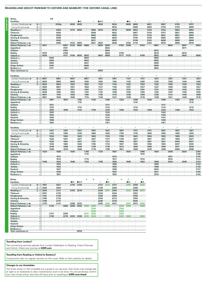#### **READING AND DIDCOT PARKWAY TO OXFORD AND BANBURY (THE OXFORD CANAL LINE)**

| <b>Notes</b>                  |                   |                      | CH                   |                 |           |                          |                      |                        |                      |                             |                  |                              |                      |                          |           |                 |                                 |                      |                |                          |                      |         |              |                        |
|-------------------------------|-------------------|----------------------|----------------------|-----------------|-----------|--------------------------|----------------------|------------------------|----------------------|-----------------------------|------------------|------------------------------|----------------------|--------------------------|-----------|-----------------|---------------------------------|----------------------|----------------|--------------------------|----------------------|---------|--------------|------------------------|
| <b>Facilities</b>             |                   |                      |                      |                 |           |                          | - IR                 |                        | 4                    | ∎⊞ऊ                         |                  | ¥                            |                      | - IR                     | ¥         |                 | ¥                               |                      | ¥              |                          | ¥                    |         | 4            |                        |
| London Paddington $\Theta$    | (6) d             |                      | $\ddot{\phantom{a}}$ | 2330p           |           | 0032                     | 0520                 |                        |                      | 0550                        |                  | 0524                         |                      | 0620                     | 0600      |                 | 0631                            |                      | 0657           |                          | 0726                 |         | 0757         |                        |
| Ealing Broadway $\bullet$     | 3 d               |                      | ٠                    |                 |           |                          |                      |                        |                      |                             |                  | 0532                         | $\lambda$            | $\overline{\phantom{a}}$ | 0608      | ٠               | 0639                            |                      | 0705           | ٠                        | 0734                 |         | 0809         |                        |
| Reading $\equiv$              | 7 d               | $\ddot{\phantom{0}}$ |                      | 0026            | ÷,        | 0115                     | 0550                 |                        | 0555                 | 0619                        |                  | 0619                         | ÷,                   | 0649                     | 0653      |                 | 0726                            |                      | 0753           |                          | 0823                 | $\cdot$ | 0852         |                        |
| <b>Tilehurst</b>              | d                 |                      |                      | 0030            |           |                          |                      |                        | 0558                 | ä,                          |                  | 0622                         | $\cdot$              |                          | 0657      | $\cdot$         | 0730                            |                      | 0757           |                          | 0827                 |         | 0856         |                        |
| Pangbourne                    | d                 |                      |                      | 0034            |           |                          |                      |                        | 0602                 | $\cdot$                     |                  | 0626                         |                      |                          | 0701      |                 | 0734                            |                      | 0801           |                          | 0831                 |         | 0900         |                        |
| <b>Goring &amp; Streatley</b> | d                 |                      | $\cdot$              | 0038            | $\cdot$   |                          | $\cdot$              |                        | 0606                 | ×,                          | $\cdot$          | 0630                         | $\cdot$              | $\cdot$                  | 0705      | ٠               | 0739                            | $\cdot$              | 0805           | ٠                        | 0835                 | ٠       | 0904         | $\cdot$                |
| <b>Cholsey</b>                | d                 |                      |                      | 0042            |           |                          |                      |                        | 0611                 |                             |                  | 0635                         |                      |                          | 0709      |                 | 0743                            |                      | 0809           |                          | 0839                 |         | 0909         |                        |
| Didcot Parkway = wi           | a                 |                      | $\cdot$              | 0050            | $\cdot$   | 0132                     | 0603                 | $\ddot{\phantom{a}}$   | 0621                 | 0633                        |                  | 0646                         | $\cdot$              | 0703                     | 0718      | $\cdot$         | 0752                            | $\cdot$              | 0818           | $\cdot$                  | 0848                 | $\cdot$ | 0918         | $\cdot$                |
| Didcot Parkway = wi           | d                 | 0011                 |                      |                 | 0057      | 0133                     | 0604                 | 0609                   |                      | 0634                        | 0639             |                              | 0702                 | 0708                     |           | 0734            |                                 | 0807                 |                | 0834                     |                      | 0907    |              | 0934                   |
| Appleford                     | d                 |                      |                      |                 | 0101      |                          |                      |                        |                      | ä,                          | 0643             | J.                           |                      |                          |           |                 |                                 |                      |                |                          | ä,                   | 0911    |              |                        |
| Culham                        | d                 |                      |                      |                 | 0104      |                          |                      |                        |                      |                             | 0645             |                              |                      |                          |           |                 |                                 | 0812                 |                |                          |                      |         |              |                        |
| Radley                        | d                 | 0018                 | $\cdot$              | $\cdot$         | 0108      |                          |                      | $\overline{a}$         |                      | $\mathbf{r}$                | 0649             | $\cdot$                      | 0709                 | ÷.                       |           |                 | J.                              | 0816                 | $\mathbf{r}$   | $\overline{\phantom{a}}$ | $\cdot$              | 0916    | J.           |                        |
| Oxford $=$                    | a                 | 0026                 |                      | ÷               | 0117      | 0146                     | 0620                 | 0622                   |                      | 0647                        | 0658             |                              | 0717                 | 0722                     |           | 0748            |                                 | 0824                 |                | 0848                     |                      | 0924    |              | 0948                   |
| Oxford $\equiv$               | d                 |                      | 0040                 | ٠               |           |                          |                      | 0624                   |                      |                             |                  |                              |                      |                          |           |                 |                                 | 0825                 | $\mathbf{r}$   |                          |                      |         |              |                        |
| <b>Tackley</b>                | d                 |                      | 0050                 |                 |           |                          |                      | 0632                   |                      |                             |                  |                              |                      |                          |           |                 |                                 | 0833                 |                |                          |                      |         |              |                        |
| Heyford                       | d                 |                      | 0055                 |                 |           |                          |                      | 0637                   |                      |                             |                  |                              |                      |                          |           |                 |                                 | 0838                 |                |                          |                      |         |              |                        |
| <b>Kings Sutton</b>           | a                 |                      | 0103                 |                 |           |                          |                      | 0645                   |                      |                             |                  |                              |                      |                          |           |                 |                                 | 0846                 |                |                          |                      |         |              |                        |
| <b>Banbury</b>                | a                 | $\cdot$              | 0111                 |                 |           |                          |                      | 0651                   |                      |                             |                  |                              |                      |                          |           |                 |                                 | 0853                 |                |                          |                      |         |              |                        |
| <b>Train continues to</b>     |                   |                      |                      |                 |           |                          |                      |                        |                      | <b>GMV</b>                  |                  |                              |                      |                          |           |                 |                                 |                      |                |                          |                      |         |              |                        |
|                               |                   |                      |                      |                 |           |                          |                      |                        |                      |                             |                  |                              |                      |                          |           |                 |                                 |                      |                |                          |                      |         |              |                        |
| <b>Facilities</b>             |                   |                      |                      | ţ               |           | \$                       |                      | ¥                      |                      | ¢                           |                  | x                            |                      | ţ                        |           | ¢               |                                 | 4                    |                | ¢                        |                      | t.      |              | ×                      |
| London Paddington $\Theta$    | (f) d             | 0827                 |                      | 0857            |           | 0927                     | $\cdot$              | 0957                   |                      | 1027                        |                  | 1057                         |                      | 1127                     |           | 1157            |                                 | 1227                 |                | 1257                     |                      | 1327    |              | 1357                   |
| Ealing Broadway $\bullet$     | 3 d               | 0835                 | $\sim$               | 0905            | $\lambda$ | 0935                     | $\cdot$              | 1005                   | $\cdot$              | 1035                        | $\lambda$        | 1105                         | $\cdot$              | 1135                     | $\lambda$ | 1205            | ÷.                              | 1235                 | $\overline{a}$ | 1305                     | $\overline{a}$       | 1335    |              | 1405                   |
|                               |                   |                      |                      |                 |           |                          |                      |                        |                      |                             |                  |                              |                      |                          |           |                 |                                 |                      |                |                          |                      |         |              |                        |
| Reading $\equiv$              | 7 d               | 0924                 | $\cdot$              | 0953            | $\cdot$   | 1023                     | $\cdot$              | 1052                   | $\cdot$              | 1123                        | $\cdot$          | 1154                         | $\cdot$              | 1223                     |           | 1253            | $\centering \label{eq:reduced}$ | 1323                 | $\cdot$        | 1355                     | $\cdot$              | 1424    |              | 1453                   |
| <b>Tilehurst</b>              | d                 | 0928                 | $\epsilon$           | 0957            | $\cdot$   | 1027                     |                      | 1056                   | $\cdot$              | 1127                        | ٠                | 1158                         | ä,                   | 1227                     | $\cdot$   | 1257            | ٠                               | 1327                 | ٠              | 1359                     | $\cdot$              | 1428    | ٠            | 1457                   |
| Pangbourne                    | d                 | 0932                 | $\cdot$              | 1001            |           | 1031                     | $\cdot$              | 1100                   |                      | 1131                        |                  | 1202                         | $\cdot$              | 1231                     |           | 1301            |                                 | 1331                 |                | 1403                     |                      | 1432    |              | 1501                   |
| <b>Goring &amp; Streatley</b> | d                 | 0936                 | $\cdot$              | 1006            |           | 1035                     |                      | 1104                   | $\ddot{\phantom{a}}$ | 1135                        | ×,               | 1206                         | $\cdot$              | 1235                     |           | 1305            |                                 | 1335                 | ٠              | 1407                     | ä,                   | 1436    |              | 1505                   |
| <b>Cholsev</b>                | $\sigma$          | 0941                 |                      | 1010            |           | 1039                     |                      | 1108                   |                      | 1139                        |                  | 1210                         |                      | 1239                     |           | 1309            |                                 | 1339                 |                | 1412                     |                      | 1440    |              | 1509                   |
| Didcot Parkway = Mi           | a                 | 0951                 | $\cdot$<br>1007      | 1020<br>$\cdot$ |           | 1048<br>$\cdot$          | 1106                 | 1116<br>$\blacksquare$ | 1134                 | 1148<br>$\cdot$             | 1206             | 1221<br>$\ddot{\phantom{a}}$ | 1234                 | 1248<br>$\cdot$          | 1306      | 1318<br>$\cdot$ |                                 | 1348<br>$\cdot$      | 1406           | 1421<br>$\cdot$          | 1434                 | 1449    |              | 1518<br>$\blacksquare$ |
| Didcot Parkway string         | d<br>$\mathsf{d}$ | $\cdot$              |                      | $\epsilon$      | 1034      | $\cdot$                  | 1110                 | $\ddot{\phantom{a}}$   |                      | $\cdot$                     |                  | $\cdot$                      |                      |                          | 1310      | $\cdot$         | 1334                            |                      |                | $\cdot$                  |                      |         | 1506<br>1510 | ×.                     |
| Appleford<br>Culham           |                   |                      | $\cdot$<br>1012      |                 |           |                          | $\cdot$              |                        |                      |                             | 1211             |                              |                      |                          |           |                 |                                 |                      | 1411           |                          |                      |         | $\cdot$      |                        |
| Radley                        | d<br>d            |                      | 1016                 | ï               |           |                          | 1115                 |                        |                      | ä,                          | 1215             |                              |                      |                          | 1315      |                 |                                 |                      | 1415           |                          |                      |         | 1515         |                        |
| Oxford $=$                    | $\overline{a}$    |                      | 1024                 |                 | 1048      |                          | 1123                 |                        | 1148                 |                             | 1223             |                              | 1248                 |                          | 1323      |                 | 1348                            |                      | 1423           |                          | 1448                 |         | 1523         |                        |
| Oxford $=$                    | d                 | $\cdot$              | 1025                 |                 |           | $\cdot$                  | ٠                    | $\cdot$                |                      | $\cdot$                     | 1224             | $\cdot$                      | $\cdot$              | $\ddot{\phantom{a}}$     |           | ٠               | ٠                               |                      | 1424           | $\cdot$                  | $\cdot$              |         | ٠            | ٠                      |
| <b>Tackley</b>                | d                 |                      | 1033                 |                 |           |                          |                      |                        |                      |                             | 1232             |                              |                      |                          |           |                 |                                 |                      | 1432           |                          |                      |         |              |                        |
| Heyford                       | d                 | $\cdot$              | 1038                 | $\cdot$         |           |                          |                      |                        |                      |                             | 1237             |                              |                      |                          |           |                 |                                 |                      | 1437           |                          |                      |         |              |                        |
| <b>Kings Sutton</b>           | a                 |                      | 1046                 |                 |           |                          |                      |                        |                      |                             | 1245             |                              |                      |                          |           |                 |                                 |                      | 1445           |                          |                      |         |              |                        |
| Banbury 2                     | a                 |                      | 1052                 |                 |           |                          |                      |                        |                      |                             | 1251             |                              |                      |                          |           |                 |                                 |                      | 1451           |                          |                      |         |              |                        |
|                               |                   |                      |                      |                 |           |                          |                      |                        |                      |                             |                  |                              |                      |                          |           |                 |                                 |                      |                |                          |                      |         |              |                        |
| <b>Facilities</b>             |                   |                      | Ŧ                    |                 | Ŧ         |                          | ¥                    |                        | ÷                    |                             | Ŧ                |                              | Ŧ                    |                          | ¥         |                 | ł                               |                      | Ŧ              |                          | Ŧ                    |         | ł            |                        |
| London Paddington $\bullet$   | (6) d             |                      | 1427                 | $\cdot$         | 1457      |                          | 1527                 |                        | 1557                 | ä,                          | 1627             |                              | 1657                 |                          | 1727      |                 | 1757                            |                      | 1827           |                          | 1857                 |         | 1927         |                        |
|                               |                   | $\cdot$              | 1435                 | $\epsilon$      |           | $\cdot$                  |                      | $\cdot$                | 1605                 | $\epsilon$                  |                  |                              | 1705                 | $\cdot$                  | 1735      | $\cdot$         | 1805                            |                      | 1835           | $\cdot$                  | 1905                 | $\cdot$ | 1935         |                        |
| Ealing Broadway $\Theta$      | 3 d               |                      |                      |                 | 1505      |                          | 1535                 |                        |                      |                             | 1635             |                              |                      |                          |           |                 |                                 |                      |                |                          |                      |         |              |                        |
| Reading                       | $\circledcirc$ d  | $\ddot{\phantom{a}}$ | 1524                 | Ŷ.              | 1553      | $\ddot{\phantom{a}}$     | 1623                 | $\ddot{\phantom{0}}$   | 1653                 | $\mathcal{L}^{\mathcal{L}}$ | 1723             | $\ddot{\phantom{a}}$         | 1755                 | $\ddot{\phantom{a}}$     | 1823      | $\mathcal{L}$   | 1853                            |                      | 1923           | $\ddot{\phantom{0}}$     | 1955                 | ÷.      | 2023         |                        |
| <b>Tilehurst</b>              | d                 |                      | 1528                 |                 | 1557      | ٠                        | 1627                 | ٠                      | 1657                 | ×,                          | 1727             | $\cdot$                      | 1759                 |                          | 1827      | $\cdot$         | 1857                            | $\cdot$              | 1927           |                          | 1959                 | ٠       | 2027         | ٠                      |
| Pangbourne                    | d                 |                      | 1532                 |                 | 1601      |                          | 1631                 |                        | 1701                 |                             | 1731             |                              | 1803                 |                          | 1831      |                 | 1901                            |                      | 1931           |                          | 2003                 |         | 2031         |                        |
| <b>Goring &amp; Streatley</b> | d                 | $\cdot$              | 1536                 | $\cdot$         | 1605      | ٠                        | 1635                 | $\cdot$                | 1705                 | $\cdot$                     | 1735             | $\cdot$                      | 1807                 |                          | 1835      | $\cdot$         | 1905                            | $\cdot$              | 1935           |                          | 2007                 | ٠       | 2035         | $\cdot$                |
| Cholsey                       | d                 |                      | 1540                 |                 | 1609      |                          | 1639                 |                        | 1709                 |                             | 1739             |                              | 1812                 |                          | 1839      |                 | 1909                            |                      | 1939           |                          | 2011                 |         | 2039         |                        |
| Didcot Parkway = Mi           | a                 |                      | 1549                 | $\epsilon$      | 1619      | $\overline{\phantom{a}}$ | 1648                 | $\ddot{\phantom{a}}$   | 1718                 | $\mathbf{r}$                | 1748             | $\mathbf{r}$                 | 1821                 |                          | 1848      | $\cdot$         | 1918                            | $\overline{a}$       | 1948           | $\lambda$                | 2020                 |         | 2048         | $\sim$                 |
| Didcot Parkway saw            | d                 | 1534                 |                      | 1606            |           | 1634                     |                      | 1706                   |                      | 1734                        |                  | 1807                         |                      | 1834                     |           | 1906            |                                 | 1934                 |                | 2006                     |                      | 2034    |              | 2104                   |
| Appleford                     | d                 |                      | ٠                    | ٠               | ٠         |                          | ٠                    | 1710                   | $\cdot$              |                             | ٠                | $\cdot$                      | ٠                    |                          |           | 1910            | ٠                               |                      | ٠              | ٠                        | ٠                    |         | ٠            | 2108                   |
| Culham                        | d                 |                      |                      | 1611            |           |                          |                      | $\cdot$                |                      |                             |                  | 1813                         |                      |                          |           |                 |                                 |                      |                | 2011                     |                      |         |              | 2110                   |
| Radley                        | d                 |                      | ٠                    | 1615            |           |                          | $\ddot{\phantom{a}}$ | 1715                   |                      |                             | ï                | 1817                         | $\cdot$              |                          |           | 1915            |                                 | $\ddot{\phantom{a}}$ |                | 2015                     | ä,                   |         |              | 2114                   |
| Oxford $\equiv$               | $\rm{a}$          | 1548                 | $\ddot{\phantom{a}}$ | 1623            |           | 1648                     | $\ddot{\phantom{a}}$ | 1723                   |                      | 1748                        |                  | 1825                         | $\ddot{\phantom{a}}$ | 1848                     |           | 1923            |                                 | 1948                 |                | 2024                     | $\ddot{\phantom{a}}$ | 2048    |              | 2123                   |
| Oxford $\equiv$               | d                 |                      | $\cdot$              | 1624            |           |                          | ÷,                   |                        |                      |                             | l,               | 1826                         | $\ddot{\phantom{a}}$ |                          |           |                 | l,                              | 1950                 | $\cdot$        |                          | ï                    |         | l,           | 2124                   |
| <b>Tackley</b>                | d                 |                      |                      | 1632            |           |                          |                      |                        |                      |                             |                  | 1834                         |                      |                          |           |                 |                                 | 1958                 |                |                          |                      |         |              | 2132                   |
| Heyford                       | $\mathsf{d}$      | ٠                    | $\cdot$              | 1637            | $\cdot$   |                          |                      |                        |                      |                             |                  | 1839                         | $\cdot$              |                          |           |                 |                                 | 2003                 |                |                          |                      |         |              | 2137                   |
| <b>Kings Sutton</b>           | a                 |                      |                      | 1645            |           |                          |                      |                        |                      |                             |                  | 1847                         |                      |                          |           |                 |                                 | 2011                 |                |                          |                      |         |              | 2145                   |
| Banbury 2                     | a                 |                      |                      | 1651            |           |                          |                      |                        |                      |                             | ï                | 1853                         | ä,                   |                          |           |                 |                                 | 2018                 |                |                          |                      |         |              | 2152                   |
|                               |                   |                      |                      |                 |           |                          |                      |                        |                      |                             |                  |                              |                      |                          |           |                 |                                 |                      |                |                          |                      |         |              |                        |
| <b>Notes</b>                  |                   |                      |                      |                 |           |                          |                      | A                      | B                    |                             | A                |                              | Α                    | Α                        |           | Α               |                                 |                      |                |                          |                      |         |              |                        |
| <b>Facilities</b>             |                   |                      |                      |                 |           | - R                      | ∎⊪क                  |                        |                      | ł                           | $\blacksquare$ R |                              |                      | $\blacksquare$           |           | $\Box$ R        |                                 |                      |                |                          |                      |         |              |                        |
| London Paddington $\Theta$    | 15 d              | 1957                 |                      | 2027            |           | 2119                     | 2150                 |                        |                      | 2127                        | 2218             | 2157                         |                      | 2250                     | 2258      | 2333            |                                 |                      |                |                          |                      |         |              |                        |
| Ealing Broadway $\bullet$     | 3 d               | 2005                 | $\cdot$              | 2035            |           |                          |                      |                        |                      | 2135                        |                  | 2205                         |                      |                          | 2306      |                 |                                 |                      |                |                          |                      |         |              |                        |
| Reading                       | $\circledcirc$ d  | 2053                 | $\cdot$              | 2121            | $\cdot$   | 2153                     | 2219                 |                        |                      | 2230                        | 2251             | 2300                         |                      | 2332                     | 2348      | 0012            |                                 |                      |                |                          |                      |         |              |                        |
|                               |                   |                      |                      |                 |           |                          |                      |                        |                      |                             |                  |                              |                      |                          |           |                 |                                 |                      |                |                          |                      |         |              |                        |

| Laming Divadivale             | ື<br>u           | ້         |         | ້              |           |                          |            |      |      | .         |      | ້       |                |      | ້         |      |
|-------------------------------|------------------|-----------|---------|----------------|-----------|--------------------------|------------|------|------|-----------|------|---------|----------------|------|-----------|------|
| Reading search                | $\circledcirc$ d | 2053      |         | 2121           |           | 2153                     | 2219       |      | ٠    | 2230      | 2251 | 2300    |                | 2332 | 2348      | 0012 |
| Tilehurst                     | d                | 2057      |         | 2125           |           | ٠                        | ٠          |      | ٠.   | 2234      |      | 2304    |                |      | 2352      |      |
| Pangbourne                    | d                | 2101      |         | 2129           | $\cdot$   | $\bullet$                | ٠          |      | ٠    | 2238      |      | 2309    |                |      | 2356      |      |
| <b>Goring &amp; Streatley</b> | d                | 2105      |         | 2133           |           | ٠                        | ٠          |      | ٠    | 2242      | ٠    | 2313    |                |      | 2359      |      |
| <b>Cholsey</b>                | d                | 2109      |         | 2137           |           |                          |            |      | ٠    | 2246      |      | 2318    |                |      | 0004      |      |
| Didcot Parkway sow            | a                | 2118      | ٠       | 2147           | ٠         | 2208                     | 2233       | ٠    | ٠    | 2255      | 2304 | 2327    | $\blacksquare$ | 2347 | 0013      | 0026 |
| Didcot Parkway = mi           | d                |           | 2134    |                | 2202      | 2209                     | 2234       | 2240 | 2240 | $\cdot$   | 2305 | $\cdot$ | 2342           | 2352 | ٠         | 0028 |
| Appleford                     | d                | ٠         |         |                |           |                          | ٠          |      | 2244 |           |      | $\cdot$ | 2346           |      | ٠         |      |
| Culham                        | d                | $\bullet$ | ٠       | ٠              |           | $\bullet$                | ٠          |      | 2246 | $\bullet$ |      | $\cdot$ | 2348           |      | $\bullet$ |      |
| Radley                        | d                | ٠         | 2141    | $\blacksquare$ | 2209      | $\overline{\phantom{a}}$ | ٠          | 2247 | 2250 | $\cdot$   |      | ٠       | 2352           |      | ٠         |      |
| Oxford $\equiv$               | a                | ٠         | 2150    | ٠              | 2218      | 2223                     | 2248       | 2255 | 2300 | $\bullet$ | 2318 | $\cdot$ | 0002           | 0008 | ٠         | 0042 |
| Oxford $\equiv$               | d                | ٠         |         |                |           |                          |            |      |      |           |      |         |                |      |           |      |
| <b>Tackley</b>                | d                | $\bullet$ | ٠       |                |           | $\bullet$                | ٠          |      | ٠    | $\bullet$ |      |         |                |      | $\cdot$   | ٠    |
| Heyford                       | d                | ٠         |         |                |           |                          |            |      |      |           |      |         |                |      | ٠         |      |
| <b>Kings Sutton</b>           | a                | ٠         | $\cdot$ |                | $\cdot$   | $\cdot$                  | ٠          |      | ٠    | $\cdot$   |      |         |                |      | $\cdot$   |      |
| Banbury 2                     | a                | ٠         | ٠       | ٠              | $\bullet$ | $\cdot$                  | ٠          |      | ٠    |           | ٠    |         | ٠              | ٠    | ٠         | ٠    |
| <b>Train continues to</b>     |                  |           |         |                |           |                          | <b>WOS</b> |      |      |           |      |         |                |      |           |      |

#### **Travelling from London?**

Fast connecting services operate from London Paddington to Reading, Didcot Parkway and Oxford. Check your journey at **GWR.com**

#### **Travelling from Reading or Oxford to Banbury?**

Crosscountry also run regular services on this route. Refer to their publicity for details.

#### **Changes to our timetables**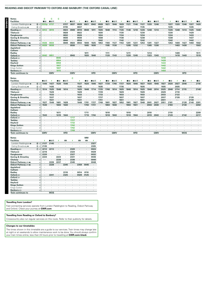#### **READING AND DIDCOT PARKWAY TO OXFORD AND BANBURY (THE OXFORD CANAL LINE)**

| <b>Facilities</b>             |                 | C                 | C          | C                        |            |            |         |         |            |         |         |            |         |                |            |      |         |            | C       |                      |               |            |                          |         |
|-------------------------------|-----------------|-------------------|------------|--------------------------|------------|------------|---------|---------|------------|---------|---------|------------|---------|----------------|------------|------|---------|------------|---------|----------------------|---------------|------------|--------------------------|---------|
|                               |                 | ПR                | ■⊓≂        |                          | s          | ∎в≂        |         | ∣ IR    | ∎⊟ਨ        |         | - IR    | ■■≖        |         | - IR           | ПВ₩        |      | - IR    | ■■ਲ        |         | ×                    | l R           | ■日美        | z                        | ∣ R     |
| London Paddington $\bullet$   | 15 d            | 2333 <sub>D</sub> | 0737       |                          | 0727       | 0837       | 0828    | 0921    | 0942       | 0928    | 1021    | 1046       | 1029    | 1121           | 1146       | 1127 | 1220    | 1246       |         | 1227                 | 1320          | 1346       | 1327                     | 1420    |
| Ealing Broadway $\bullet$     | $\circled{3}$ d |                   |            |                          | 0735       | $\cdot$    | 0837    | $\cdot$ |            | 0937    | $\cdot$ |            | 1037    | $\cdot$        | ٠          | 1135 | $\cdot$ |            |         | 1235                 |               |            | 1335                     |         |
| Reading                       | $(7)$ d         | 0012              | 0819       | ×.                       | 0824       | 0909       | 0918    | 0948    | 1011       | 1026    | 1048    | 1114       | 1126    | 1148           | 1218       | 1226 | 1248    | 1314       |         | 1326                 | 1348          | 1414       | 1425                     | 1448    |
| <b>Tilehurst</b>              | d               |                   | ×          |                          | 0828       |            | 0922    | ٠       |            | 1030    |         |            | 1130    |                |            | 1230 |         |            |         | 1330                 |               |            | 1429                     |         |
| Pangbourne                    | d               |                   |            |                          | 0832       |            | 0926    |         |            | 1034    |         |            | 1134    |                |            | 1234 |         |            |         | 1334                 |               |            | 1433                     |         |
| <b>Goring &amp; Streatley</b> | d               |                   |            |                          | 0836       | $\cdot$    | 0930    | $\cdot$ |            | 1038    | $\cdot$ |            | 1138    | $\blacksquare$ |            | 1238 | $\cdot$ |            |         | 1338                 |               |            | 1437                     |         |
| Cholsey                       | d               |                   |            |                          | 0840       |            | 0934    |         |            | 1042    |         |            | 1142    |                |            | 1242 |         |            |         | 1342                 |               |            | 1442                     |         |
| Didcot Parkway som            | a               | 0026              | 0834       | ×                        | 0849       | 0924       | 0943    | 1000    | 1025       | 1053    | 1100    | 1127       | 1153    | 1201           | 1231       | 1253 | 1301    | 1327       |         | 1353                 | 1400          | 1427       | 1450                     | 1502    |
| Didcot Parkway saw            | d               | 0028              | 0838       |                          |            | 0930       |         | 1005    | 1030       | $\cdot$ | 1105    | 1130       |         | 1205           | 1232       |      | 1305    | 1330       |         | $\ddot{\phantom{0}}$ | 1403          | 1430       |                          | 1503    |
| Appleford                     | d               |                   |            |                          |            |            |         |         |            | $\cdot$ |         |            |         |                |            |      |         |            |         |                      |               |            |                          |         |
| Culham                        | $\mathsf{d}$    |                   |            |                          |            |            |         |         |            |         |         |            |         |                |            |      |         |            |         |                      |               |            |                          |         |
| <b>Radlev</b>                 | d               |                   |            |                          |            |            |         | 1011    |            |         | 1111    |            |         | 1211           |            |      | 1314    |            |         |                      | 1409          |            |                          | 1511    |
| Oxford $\equiv$               | a               | 0042              | 0851       | $\sim$                   | $\cdot$    | 0943       | $\cdot$ | 1020    | 1040       | $\sim$  | 1120    | 1143       | $\cdot$ | 1220           | 1245       |      | 1323    | 1343       | ×.      | $\cdot$              | 1418          | 1443       | $\cdot$                  | 1519    |
| Oxford $\equiv$               | $\mathsf{d}$    |                   | ×          | 0945                     |            |            |         |         |            |         |         |            |         |                |            |      |         |            | 1418    | $\cdot$              |               |            | $\cdot$                  |         |
| <b>Tacklev</b>                | d               |                   |            | 0954                     |            |            |         |         |            |         |         |            |         |                |            |      |         |            | 1428    |                      |               |            |                          |         |
| Heyford                       | d               |                   |            | 0959                     |            |            |         |         |            |         |         |            |         |                |            |      |         |            | 1433    |                      |               |            |                          |         |
| <b>Kings Sutton</b>           | a               |                   |            | 1007                     |            |            |         |         |            |         |         |            |         |                |            |      |         |            | 1442    |                      |               |            |                          |         |
| Kings Sutton                  | d               |                   | ×          | 1007                     |            |            |         |         |            |         |         |            |         |                |            |      |         |            | 1442    | $\cdot$              |               |            |                          |         |
| Banbury <i>s</i>              | a               |                   |            | 1015                     | $\cdot$    |            |         |         |            |         |         |            |         |                |            |      |         |            | 1450    | $\cdot$              |               |            |                          |         |
| <b>Train continues to</b>     |                 |                   | <b>GMV</b> |                          |            | <b>GMV</b> |         |         | <b>HFD</b> |         |         | <b>GMV</b> |         |                | <b>HFD</b> |      |         | <b>GMV</b> |         |                      |               | <b>HFD</b> |                          |         |
|                               |                 |                   |            |                          |            |            |         |         |            |         |         |            |         |                |            |      |         |            |         |                      |               |            |                          |         |
|                               |                 |                   |            |                          |            |            |         |         |            |         |         |            |         |                |            |      |         |            |         |                      |               |            |                          |         |
| <b>Notes</b>                  |                 |                   |            |                          |            | C          |         |         |            |         |         |            |         |                |            |      |         |            |         |                      |               |            |                          |         |
| <b>Facilities</b>             |                 | ∎⊪ਸ਼ਨ             | s          | - IR                     | ∎⊟ਨ        |            | x       | l IR    | ∎⊞∓        | s       | - IR    | 日ま         | ×       | - IR           | ∎Ba        |      | - IR    | ∎B⊼        | B       | - IR                 |               | - IR       |                          | - IR    |
| London Paddington $\bullet$   | <b>15 d</b>     | 1446              | 1427       | 1520                     | 1546       |            | 1527    | 1620    | 1646       | 1627    | 1720    | 1746       | 1727    | 1820           | 1846       | 1827 | 1920    | 1946       | 1927    | 2020                 | 2027          | 2046       | ٠                        | 2119    |
| Ealing Broadway $\bullet$     | $(3)$ d         |                   | 1435       | ٠                        | $\cdot$    |            | 1535    |         |            | 1635    | $\cdot$ |            | 1735    | ٠              |            | 1835 | $\cdot$ |            | 1935    | $\cdot$              | 2035          |            |                          | $\cdot$ |
| Reading s                     | $(7)$ d         | 1514              | 1525       | 1548                     | 1614       |            | 1625    | 1648    | 1714       | 1725    | 1748    | 1814       | 1825    | 1848           | 1914       | 1925 | 1948    | 2014       | 2025    | 2048                 | 2114          | 2115       | $\epsilon$               | 2148    |
| <b>Tilehurst</b>              | d               |                   | 1529       | $\overline{\phantom{a}}$ |            |            | 1629    |         |            | 1729    | ٠       |            | 1829    | $\cdot$        |            | 1929 | $\cdot$ |            | 2029    | $\cdot$              | 2118          |            |                          |         |
| Pangbourne                    | d               |                   | 1533       | $\cdot$                  | ٠          |            | 1633    | $\cdot$ |            | 1733    | $\cdot$ |            | 1833    | $\epsilon$     | $\cdot$    | 1933 | $\cdot$ | $\cdot$    | 2033    | $\cdot$              | 2122          |            | $\overline{\phantom{0}}$ |         |
| <b>Goring &amp; Streatley</b> | d               |                   | 1537       | $\cdot$                  |            |            | 1637    |         |            | 1737    | $\cdot$ |            | 1837    | $\cdot$        |            | 1937 | $\cdot$ |            | 2037    | $\cdot$              | 2126          |            | 2126                     |         |
| Cholsey                       | d               |                   | 1541       | ٠                        |            |            | 1641    |         |            | 1741    |         |            | 1841    | ٠              |            | 1941 | $\cdot$ |            | 2041    | $\blacksquare$       | $\longmapsto$ |            | 2130                     |         |
| Didcot Parkway som            | a               | 1527              | 1549       | 1601                     | 1628       |            | 1649    | 1701    | 1727       | 1749    | 1801    | 1827       | 1852    | 1901           | 1927       | 1949 | 2001    | 2027       | 2051    | 2101                 | $\mathbf{r}$  | 2128       | 2140                     | 2201    |
| Didcot Parkway                | d               | 1530              | $\cdot$    | 1603                     | 1630       |            |         | 1703    | 1731       | $\cdot$ | 1803    | 1830       | $\cdot$ | 1903           | 1931       |      | 2003    | 2030       |         | 2103                 |               | 2130       | $\cdot$                  | 2202    |
| Appleford                     | d               |                   | $\cdot$    |                          |            |            |         |         |            |         |         |            |         |                |            |      |         |            |         |                      |               |            |                          |         |
| Culham                        | $\mathsf{d}$    |                   | $\cdot$    |                          |            |            |         |         |            |         |         |            |         |                |            |      |         |            |         |                      |               |            |                          |         |
| <b>Radlev</b>                 | d               |                   |            | 1611                     |            |            |         | 1711    |            |         | 1810    |            |         | 1910           |            |      | 2010    |            |         | 2110                 |               |            |                          | 2209    |
| Oxford $\equiv$               | a               | 1543              | $\cdot$    | 1619                     | 1644       | $\sim$     |         | 1719    | 1744       | $\sim$  | 1818    | 1843       | $\cdot$ | 1918           | 1944       |      | 2019    | 2043       | $\cdot$ | 2120                 | $\cdot$       | 2142       | $\cdot$                  | 2217    |
| Oxford $\equiv$               | <b>d</b>        |                   |            |                          |            | 1717       |         |         |            |         |         |            |         |                |            |      |         |            |         |                      |               |            |                          |         |
| <b>Tackley</b>                | d               |                   |            |                          |            | 1727       |         |         |            |         |         |            |         |                |            |      |         |            |         |                      |               |            |                          |         |
| Heyford                       | d               |                   |            |                          |            | 1732       |         |         |            |         |         |            |         |                |            |      |         |            |         |                      |               |            |                          |         |
| <b>Kings Sutton</b>           | $\overline{a}$  |                   |            |                          |            | 1742       |         |         |            |         |         |            |         |                |            |      |         |            |         |                      |               |            |                          |         |
| Kings Sutton                  | d               |                   |            |                          |            | 1742       |         |         |            |         |         |            |         |                |            |      |         |            |         |                      |               |            |                          |         |
| Banbury s                     | a               | <b>GMV</b>        |            |                          | <b>HFD</b> | 1749       |         |         | <b>GMV</b> |         |         | <b>GMV</b> |         |                | <b>HFD</b> |      |         | <b>GMV</b> |         |                      |               | <b>WOS</b> |                          |         |

|                 |                          |            |                          |      |      |         | MМ      |      |
|-----------------|--------------------------|------------|--------------------------|------|------|---------|---------|------|
|                 | ¥                        | ⊞ਸ਼ਨ       | ş                        | ₩    | ş    | ₩       | ₩       | ı    |
| $⑤$<br>d        | 2127                     | 2145       | ٠                        | ٠    | ٠    | ٠       | ٠       | 2327 |
| 3<br>d          | 2135                     | ٠          | ٠                        | ٠    | ٠    | ٠       | ٠       | 2335 |
| $^{\circ}$<br>d | 2212                     | 2213       | $\cdot$                  | ٠    | 2320 | ٠       | $\cdot$ | 0024 |
| d               | 2216                     | ٠          | ٠                        | ٠    | 2324 | ٠       | ٠       | 0028 |
| d               | 2220                     | $\cdot$    | $\overline{\phantom{0}}$ | ٠    | 2327 | $\cdot$ | ٠       | 0032 |
| d               | 2224                     | ٠          | 2224                     | ٠    | 2331 | ٠       | ٠       | 0036 |
| d               | $\overline{\phantom{a}}$ | $\cdot$    | 2228                     | ٠    | 2336 | $\cdot$ | $\cdot$ | 0040 |
| a               | ٠                        | 2226       | 2237                     | ٠    | 2345 | ٠       | ٠       | 0048 |
| d               |                          | 2228       |                          | 2245 | ٠    | 2359    | 0045    |      |
| d               | ٠                        | ٠          | ٠                        | ٠    | ٠    | ٠       | ٠       | ٠    |
| d               | ٠                        | ٠          | ٠                        | ٠    | ٠    | ٠       | ٠       | ٠    |
| d               | ٠                        | ٠          | ٠                        | 2310 | ٠    | 0014    | 0110    | ٠    |
| a               |                          | 2241       |                          | 2325 | ٠    | 0029    | 0125    | ٠    |
| d               | ٠                        | ٠          | ٠                        | ٠    | ٠    | ٠       | ٠       | ٠    |
| d               | ٠                        | ٠          | ٠                        | ٠    | ٠    | ٠       | ٠       | ٠    |
| d               | ٠                        | ٠          | ٠                        | ٠    | ٠    | ٠       | ٠       | ٠    |
| a               | ٠                        | ٠          | ٠                        | ٠    | ٠    | ٠       | ٠       | ٠    |
| d               | ٠                        | ٠          | ٠                        | ٠    | ٠    | ٠       | ٠       | ٠    |
| a               | ٠                        |            | ٠                        | ٠    | ٠    | ٠       | ٠       | ٠    |
|                 |                          | <b>WOS</b> |                          |      |      |         |         |      |
|                 |                          |            |                          |      |      |         |         |      |

#### **Travelling from London?**

Fast connecting services operate from London Paddington to Reading, Didcot Parkway and Oxford. Check your journey at **GWR.com**

#### **Travelling from Reading or Oxford to Banbury?**

Crosscountry also run regular services on this route. Refer to their publicity for details.

#### **Changes to our timetables**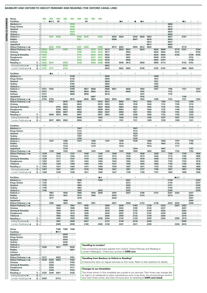#### **BANBURY AND OXFORD TO DIDCOT PARKWAY AND READING (THE OXFORD CANAL LINE)**

| <b>Notes</b>                                          |                  | МO        | <b>MX</b>        | <b>MO</b>                | <b>MO</b> | <b>MX</b>      | <b>MX</b> | <b>MO</b> | <b>MO</b>       | <b>MX</b>        |              |                |                                 |         |                |                 |         |         |            |                      |                 |         |                          |                |
|-------------------------------------------------------|------------------|-----------|------------------|--------------------------|-----------|----------------|-----------|-----------|-----------------|------------------|--------------|----------------|---------------------------------|---------|----------------|-----------------|---------|---------|------------|----------------------|-----------------|---------|--------------------------|----------------|
| <b>Facilities</b>                                     |                  | ¥.        | ∎в≂              | Ø                        | x         |                |           | 粤         |                 |                  |              |                | - IR                            |         |                | – R             |         |         |            |                      |                 | l R     |                          |                |
| Banbury som                                           | d                |           |                  |                          |           | 0003           |           |           |                 |                  |              |                |                                 |         |                |                 |         |         |            | 0606                 |                 |         |                          |                |
| <b>Kings Sutton</b>                                   | d                |           |                  |                          |           | 0008           |           |           |                 |                  |              |                |                                 |         |                |                 |         |         | ٠          | 0612                 |                 |         |                          |                |
|                                                       | d                |           |                  |                          |           | 0016           |           |           |                 |                  |              |                |                                 |         |                |                 |         |         |            | 0620                 |                 |         |                          |                |
| Heyford                                               | d                |           |                  |                          |           | 0020           | ×         |           |                 |                  |              |                |                                 |         |                |                 |         |         |            | 0624                 |                 |         |                          |                |
| <b>Tackley</b>                                        |                  |           |                  |                          |           |                |           |           |                 |                  |              |                |                                 |         |                |                 |         |         |            |                      |                 |         |                          |                |
| Oxford $=$                                            | a                |           |                  |                          |           | 0030           |           |           |                 |                  |              |                |                                 |         |                |                 |         |         |            | 0635                 |                 |         |                          |                |
| Oxford $=$                                            | d                |           | 0011             | 0005                     |           |                | 0045      | 0335      |                 | 0354             |              | 0500           | 0520                            |         | 0540           | 0600            | 0604    |         |            | 0637                 |                 | 0707    |                          |                |
| Radley                                                | d                |           |                  |                          |           |                | 0051      |           |                 |                  |              | 0506           |                                 |         | 0547           |                 | 0610    |         |            | 0643                 |                 |         |                          |                |
| Culham                                                | d                |           |                  |                          |           |                | ×.        |           |                 |                  |              |                | ٠                               |         | $\cdot$        | ٠               | 0614    | ٠       | ٠          | 0647                 |                 |         |                          |                |
| <b>Appleford</b>                                      | d                |           |                  |                          |           |                |           |           |                 |                  |              |                |                                 |         |                |                 | 0617    |         |            | 0650                 |                 |         |                          |                |
| Didcot Parkway stress                                 | a                |           | 0022             | 0030                     |           |                | 0101      | 0400      |                 | 0406             |              | 0515           | 0532                            |         | 0555           | 0612            | 0623    |         |            | 0656                 |                 | 0719    |                          |                |
| Didcot Parkway sow                                    |                  | $d$ 2353p | 0024             |                          | 0035      |                | 0102      |           | 0410            | 0410             | 0512         |                | 0533                            | 0547    |                | 0616            |         | 0634    | 0649       |                      | 0716            | 0721    |                          | 0744           |
| Cholsey                                               | d                | 2358p     | ×                |                          |           |                | 0108      | ×         | 0416            | 0416             | 0517         | $\cdot$        | ٠                               | 0552    | ×              | $\cdot$         |         | 0640    | 0654       | ٠                    | 0722            | $\cdot$ | $\overline{\phantom{0}}$ | 0750           |
| <b>Goring &amp; Streatley</b>                         | d                | 0003      |                  |                          |           |                | 0113      |           | 0422            | 0422             | 0522         |                |                                 | 0557    |                |                 |         | 0645    | 0659       |                      | 0728            |         | 0728                     | 0755           |
| Pangbourne                                            | d                | 0007      |                  |                          |           |                | 0117      |           | 0427            | 0427             | 0526         |                | ٠                               | 0601    |                | ٠               |         | 0649    | 0703       |                      | $\longmapsto$   | $\cdot$ | 0733                     | $\longmapsto$  |
| <b>Tilehurst</b>                                      | d                | 0011      |                  |                          |           |                | 0122      |           | 0432            | 0432             | 0530         |                |                                 | 0605    |                |                 |         | 0654    | 0707       |                      |                 |         | 0738                     |                |
| Reading =                                             | $\circledcirc$ a | 0023      | 0041             |                          | 0050      |                | 0128      |           | 0438            | 0438             | 0535         | $\epsilon$     | 0546                            | 0612    | $\blacksquare$ | 0628            |         | 0659    | 0712       |                      |                 | 0733    | 0743                     |                |
| Ealing Broadway $\bullet$                             | $3$ a            | 0106      |                  |                          | 0134      |                |           |           |                 |                  | 0622         |                |                                 |         |                |                 |         |         |            |                      |                 |         |                          |                |
|                                                       | $⑤ a$            | 0115      | 0117             | $\epsilon$               | 0143      | ×              | ×         |           | ×               | ×                | 0633         | $\cdot$        | 0622                            | 0652    | $\cdot$        | 0706            | $\cdot$ | 0740    | 0752       | $\ddot{\phantom{a}}$ |                 | 0806    | 0820                     |                |
| London Paddington $\bullet$                           |                  |           |                  |                          |           |                |           |           |                 |                  |              |                |                                 |         |                |                 |         |         |            |                      |                 |         |                          |                |
| <b>Facilities</b>                                     |                  |           |                  |                          | s         |                |           |           |                 | ¥                |              |                | ı                               |         |                |                 | 4       |         | s          |                      |                 |         |                          |                |
| Banbury s                                             | d                |           | $\blacksquare$ R |                          |           | 0728           |           |           |                 |                  | 0835         |                |                                 |         |                |                 |         | 1008    |            |                      |                 |         |                          |                |
| <b>Kings Sutton</b>                                   | d                |           |                  |                          |           | 0733           | ٠         |           |                 | ٠                | 0840         |                |                                 |         |                |                 |         | 1013    | ٠          |                      |                 |         |                          |                |
| Heyford                                               | d                |           |                  |                          |           | 0741           |           |           |                 |                  | 0848         |                |                                 |         |                |                 |         | 1021    |            |                      |                 |         |                          |                |
| <b>Tackley</b>                                        | d                |           |                  |                          |           | 0745           |           |           |                 |                  | 0852         |                |                                 |         |                |                 |         | 1025    |            |                      |                 |         |                          |                |
|                                                       |                  |           |                  |                          |           | 0756           |           |           |                 |                  |              |                |                                 |         |                |                 |         |         |            |                      |                 |         |                          |                |
| Oxford $=$<br>Oxford $=$                              | $\overline{a}$   |           | 0742             | $\cdot$                  |           |                |           | 0827      | 0836            |                  | 0905<br>0906 | 0921           | $\cdot$                         | 0936    |                | 1003            |         | 1035    |            | 1106                 |                 | 1137    |                          | 1207           |
|                                                       | d                | 0721      |                  |                          |           | 0758           | ٠         |           |                 | $\cdot$          |              |                |                                 |         |                |                 |         | 1037    | $\cdot$    |                      |                 |         |                          |                |
| Radley                                                | d                | 0727      |                  |                          |           | 0804           |           | 0834      | 0842            |                  | 0912         |                |                                 | 0942    |                | 1010            |         |         |            | 1112                 |                 |         |                          | 1213           |
| Culham                                                | d                | 0731      |                  | ٠                        |           | 0808           | $\cdot$   | 0838      | $\cdot$         | $\cdot$          | 0916         | ٠              |                                 | $\cdot$ | ٠              | 1014            |         | ٠       | $\cdot$    | 1116                 |                 |         |                          | $\cdot$        |
| Appleford                                             | d                | 0734      |                  |                          |           |                |           |           | 0847            |                  |              |                |                                 |         |                | 1016            |         |         |            |                      |                 | 1146    |                          |                |
| Didcot Parkway = mi                                   | a                | 0740      | 0755             | ÷.                       |           | 0815           | $\cdot$   | 0845      | 0853            | $\cdot$          | 0923         | 0933           | $\cdot$                         | 0951    | ٠              | 1022            |         | 1049    | $\cdot$    | 1123                 |                 | 1151    |                          | 1222           |
| Didcot Parkway som                                    | d                |           | 0757             | $\cdot$                  | 0816      |                | 0838      |           |                 | 0914             | 0927         |                | 0940                            |         | 1013           | $\cdot$         | 1035    |         | 1108       |                      | 1133            |         | 1208                     |                |
| Cholsey                                               | d                |           |                  | $\overline{\phantom{0}}$ | 0823      | $\cdot$        | 0843      |           |                 | 0919             | 0933         | ٠              | 0945                            | $\cdot$ | 1018           | $\cdot$         | 1040    | ٠       | 1114       | ٠                    | 1138            | $\cdot$ | 1213                     |                |
| <b>Goring &amp; Streatley</b>                         | d                |           |                  | 0755                     | 0828      |                | 0848      |           |                 | 0924             | 0938         |                | 0950                            |         | 1023           |                 | 1045    |         | 1118       |                      | 1144            |         | 1218                     |                |
| Pangbourne                                            | d                |           |                  | 0759                     | 0832      |                | 0852      |           |                 | 0928             | 0943         |                | 0954                            |         | 1027           | $\cdot$         | 1049    |         | 1122       |                      | 1148            | $\cdot$ | 1222                     |                |
| <b>Tilehurst</b>                                      | d                |           |                  | 0804                     | 0837      |                | 0856      |           |                 | 0932             | 0947         |                | 0958                            |         | 1031           |                 | 1053    |         | 1126       |                      | 1153            |         | 1226                     |                |
| Reading                                               | $\circledcirc$ a |           | 0809             | 0810                     | 0845      |                | 0901      |           |                 | 0937             | 0953         |                | 1008                            |         | 1036           | $\cdot$         | 1058    |         | 1132       |                      | 1159            |         | 1233                     |                |
| Ealing Broadway $\bullet$                             | $\circled{3}$ a  |           |                  |                          |           |                | 0948      |           |                 | 1020             |              |                | 1049                            |         | 1119           |                 | 1158    |         | 1227       |                      | 1257            |         | 1319                     |                |
| London Paddington $\Theta$                            | ⑮ a              |           | 0837             | 0852                     | 0926      | $\cdot$        | 0956      | ٠         | ٠               | 1031             | $\cdot$      | ٠              | 1101                            | $\cdot$ | 1131           | $\cdot$         | 1208    | ٠       | 1238       |                      | 1308            | $\cdot$ | 1331                     | ٠              |
|                                                       |                  |           |                  |                          |           |                |           |           |                 |                  |              |                |                                 |         |                |                 |         |         |            |                      |                 |         |                          |                |
| <b>Facilities</b>                                     |                  |           |                  |                          |           |                |           |           |                 |                  |              |                |                                 | 4       |                |                 |         |         |            |                      |                 |         |                          |                |
| Banbury s                                             | d                |           |                  |                          |           |                | 1307      |           |                 |                  |              |                |                                 |         | 1507           |                 |         |         |            |                      |                 |         |                          |                |
| <b>Kings Sutton</b>                                   | d                |           |                  |                          |           |                | 1312      |           |                 |                  |              |                |                                 |         | 1512           | ٠               |         |         |            |                      |                 |         |                          |                |
|                                                       |                  |           |                  |                          |           |                | 1320      |           |                 |                  |              |                |                                 |         | 1520           |                 |         |         |            |                      |                 |         |                          |                |
| Heyford                                               | d                |           |                  |                          |           |                | 1324      |           |                 |                  |              |                |                                 |         | 1524           |                 |         |         |            |                      |                 |         |                          |                |
| <b>Tackley</b>                                        | d                |           |                  |                          |           |                |           |           |                 |                  |              |                |                                 |         |                |                 |         |         |            |                      |                 |         |                          |                |
| Oxford $=$                                            | a                |           |                  |                          |           |                | 1335      |           |                 |                  |              |                |                                 |         | 1535           |                 |         |         |            |                      |                 |         |                          |                |
| Oxford $\equiv$                                       | d                |           | 1237             | $\cdot$                  | 1306      | $\blacksquare$ | 1337      | ٠         | 1406            | ٠                | 1437         |                | 1508                            | $\cdot$ | 1536           | $\cdot$         | 1606    | ٠       | 1636       | ٠                    | 1707            | $\cdot$ | 1736                     |                |
| Radley                                                | d                |           |                  |                          | 1312      |                |           |           | 1412            |                  |              |                | 1514                            |         |                |                 | 1612    |         | 1642       |                      | 1713            | ÷,      | 1742                     |                |
| Culham                                                | d                |           |                  | $\cdot$                  | 1316      | $\cdot$        | ٠         |           | 1416            | $\cdot$          |              |                | 1518                            |         | ٠              | $\cdot$         | 1616    |         | $\cdot$    |                      | 1717            | $\cdot$ | $\cdot$                  |                |
| <b>Appleford</b>                                      | d                |           |                  |                          | 1319      |                |           |           |                 |                  |              |                |                                 |         | 1544           |                 |         |         | 1647       |                      |                 |         | 1747                     |                |
| Didcot Parkway = mi                                   | a                |           | 1249             | $\cdot$                  | 1325      |                | 1349      |           | 1423            | $\cdot$          | 1449         |                | 1525                            |         | 1550           | $\cdot$         | 1623    |         | 1653       |                      | 1724            | $\cdot$ | 1753                     |                |
| Didcot Parkway = mi                                   | d                | 1238      |                  | 1306                     |           | 1337           |           | 1408      |                 | 1436             |              | 1508           |                                 | 1538    |                | 1608            |         | 1638    |            | 1708                 |                 | 1739    |                          | 1804           |
| Cholsey                                               | Ċ                | 1243      | ٠                | 1312                     | $\cdot$   | 1342           | $\cdot$   | 1413      | $\cdot$         | 1441             | $\cdot$      | 1513           | $\cdot$                         | 1543    | ٠              | 1613            | $\cdot$ | 1644    | $\cdot$    | 1713                 | ٠               | 1745    | ٠                        | 1809           |
| <b>Goring &amp; Streatley</b>                         | d                | 1248      |                  | 1317                     |           | 1347           |           | 1418      |                 | 1446             |              | 1518           |                                 | 1548    |                | 1618            |         | 1649    |            | 1718                 |                 | 1749    |                          | 1814           |
| Pangbourne                                            | d                | 1252      | ٠                | 1321                     | ٠         | 1351           | $\cdot$   | 1422      | ٠               | 1450             |              | 1522           | $\cdot$                         | 1552    | ٠              | 1622            |         | 1653    | $\cdot$    | 1722                 |                 | 1753    |                          | 1818           |
| <b>Tilehurst</b>                                      | d                | 1256      |                  | 1326                     |           | 1356           |           | 1426      |                 | 1454             |              | 1527           |                                 | 1556    |                | 1626            |         | 1658    |            | 1726                 |                 | 1758    |                          | 1822           |
| Reading                                               | $\circledcirc$ a | 1303      |                  | 1331                     |           | 1403           | $\cdot$   | 1431      | $\cdot$         | 1459             |              | 1535           | $\cdot$                         | 1607    | $\cdot$        | 1631            |         | 1703    | $\cdot$    | 1735                 |                 | 1803    |                          | 1829           |
|                                                       |                  | 1357      |                  | 1427                     |           | 1457           |           | 1518      |                 | 1558             |              | 1627           |                                 | 1657    |                | 1727            |         | 1748    |            | 1827                 |                 | 1857    |                          | 1928           |
| Ealing Broadway $\Theta$                              | @a               |           |                  |                          |           |                |           |           |                 |                  |              |                |                                 |         |                |                 |         |         |            |                      |                 |         |                          |                |
| London Paddington $\bullet$                           | ⑮ a              | 1408      |                  | 1438                     |           | 1508           |           | 1531      |                 | 1608             |              | 1637           |                                 | 1708    |                | 1738            |         | 1757    |            | 1839                 |                 | 1908    |                          | 1938           |
| <b>Facilities</b>                                     |                  |           |                  | s                        |           | ş              |           | Ŧ         |                 | $\blacksquare$ R | Ŧ            |                | Ŧ                               |         | Ŧ              |                 |         |         | Ŧ          |                      | ∎в≂             | s       |                          |                |
| Banbury s                                             | d                | 1718      |                  |                          |           |                | 1836      |           |                 | 1944             |              |                | $\ddot{\phantom{0}}$            | 2007    | $\cdot$        |                 |         |         | ä,         | 2138                 |                 |         |                          | 2232           |
| <b>Kings Sutton</b>                                   | d                | 1725      | ٠                | ٠                        |           | ٠              | 1841      |           |                 | $\cdot$          |              |                | ٠                               | 2012    | ٠              | ٠               |         | ٠       | ٠          | 2143                 | $\cdot$         | ٠       |                          | 2237           |
| Heyford                                               | d                | 1735      | ٠                |                          |           |                | 1850      |           |                 | ٠                |              |                |                                 | 2020    |                |                 |         |         |            | 2151                 |                 |         |                          | 2245           |
| <b>Tackley</b>                                        | d                | 1739      | $\cdot$          | $\cdot$                  |           | $\cdot$        | 1854      | $\cdot$   | ٠               | à.               |              | $\blacksquare$ | $\cdot$                         | 2024    | $\epsilon$     | $\cdot$         |         | $\cdot$ | $\cdot$    | 2155                 | $\cdot$         | $\cdot$ |                          | 2249           |
| Oxford $\equiv$                                       |                  | 1749      |                  | $\cdot$                  |           |                |           | $\cdot$   |                 |                  |              |                | $\cdot$                         | 2035    | ×.             |                 |         |         | ÷,         | 2205                 | $\cdot$         | ÷,      |                          |                |
|                                                       | $\mbox{a}$       | $\cdot$   |                  | $\cdot$                  |           | $\epsilon$     | 1905      | $\cdot$   |                 | 2002             | $\cdot$      |                | $\cdot$                         |         | $\epsilon$     |                 | $\cdot$ |         | $\cdot$    |                      |                 | $\cdot$ |                          | 2259<br>$\sim$ |
| Oxford $\equiv$                                       | d                |           | 1807             | $\cdot$                  | 1835      |                | 1906      |           | 1936            | 2006<br>$\cdot$  |              | 2010           |                                 | 2037    |                | 2108            |         | 2127    |            | 2207                 | 2232<br>$\cdot$ | $\cdot$ | 2247                     |                |
| Radley                                                | d                | ٠         | 1813             |                          | 1841<br>٠ | $\cdot$        | 1912      | $\cdot$   | 1942<br>$\cdot$ |                  | $\cdot$      | 2016           |                                 | $\cdot$ | ٠              | 2114<br>$\cdot$ | $\cdot$ | $\cdot$ | $\cdot$    | 2213                 | ٠               | $\cdot$ | 2253                     | ٠              |
| Culham                                                | d                |           | 1817             | $\epsilon$               |           |                | 1916      |           |                 | $\cdot$          |              | 2020           | $\cdot$                         |         |                |                 |         |         |            |                      |                 |         | 2257                     |                |
| Appleford                                             | d                |           | $\cdot$          | $\cdot$                  | 1846      | ٠              | $\cdot$   |           | $\cdot$         |                  |              | $\cdot$        | $\centering \label{eq:reduced}$ |         |                | $\blacksquare$  |         |         |            |                      |                 | $\cdot$ | 2300                     | $\cdot$        |
|                                                       | $\mathsf a$      | $\cdot$   | 1826             | $\sim$                   | 1852      | $\mathbf{r}$   | 1923      | $\cdot$   | 1951            | $\cdot$          | $\cdot$      | 2027           | $\sim$                          | 2049    | $\mathbf{r}$   | 2123            | $\cdot$ | 2139    | $\epsilon$ | 2222                 | 2245            | $\sim$  | 2306                     | $\cdot$        |
|                                                       | d                |           | $\cdot$          | 1838                     | $\cdot$   | 1904           | $\cdot$   | 1935      | ä,              | $\cdot$          | 2008         | ×.             | 2038                            |         | 2104           | $\cdot$         | 2138    |         | 2222       |                      | 2247            | 2252    |                          | $\epsilon$     |
| Didcot Parkway = Mi<br>Didcot Parkway = Mi<br>Cholsey | d                |           | ٠                | 1844                     | $\cdot$   | 1909           | $\cdot$   | 1940      | $\cdot$         | $\cdot$          | 2014         | ٠              | 2043                            | $\cdot$ | 2109           | $\cdot$         | 2143    | ٠       | 2227       | ٠                    |                 | 2257    | ٠                        | $\cdot$        |
| <b>Goring &amp; Streatley</b>                         | d                |           |                  | 1849                     |           | 1914           | ٠         | 1945      |                 | ٠                | 2018         |                | 2048                            |         | 2115           | $\cdot$         | 2148    |         | 2232       |                      |                 | 2302    |                          |                |
| Pangbourne                                            | d                |           | ٠                | 1854                     | ٠         | 1918           | $\cdot$   | 1949      | $\cdot$         | $\cdot$          | 2022         | ٠              | 2052                            | $\cdot$ | 2119           | $\cdot$         | 2152    | $\cdot$ | 2236       | ٠                    | ٠               | 2306    | ٠                        | ٠              |
| <b>Tilehurst</b>                                      | d                |           |                  | 1858                     | $\cdot$   | 1922           | $\cdot$   | 1953      |                 | ٠                | 2026         |                | 2056                            |         | 2123           | $\cdot$         | 2158    |         | 2240       |                      |                 | 2310    |                          |                |
| Reading $\equiv$                                      | $\circledcirc$ a | ٠         | ٠                | 1905                     | $\cdot$   | 1928           | $\cdot$   | 1958      | $\cdot$         | 2028             | 2034         | ٠              | 2103                            | $\sim$  | 2129           | $\cdot$         | 2205    | $\cdot$ | 2245       | $\cdot$              | 2259            | 2319    |                          | ٠              |
| Ealing Broadway $\bullet$                             | $\circled{3}$ a  | $\cdot$   |                  | 1957                     | $\cdot$   | 2028           | $\cdot$   | 2057      | $\cdot$         | $\cdot$          | 2127         | $\cdot$        | 2148                            |         | 2218           | $\cdot$         | 2248    | $\cdot$ | $\epsilon$ |                      | $\cdot$         | 0005    |                          | $\cdot$        |
| London Paddington $\Theta$                            | ⑮ a              | ٠         | ٠                | 2009                     | $\cdot$   | 2038           | $\cdot$   | 2108      | $\epsilon$      | 2059             | 2138         | ٠              | 2201                            | $\cdot$ | 2231           | $\cdot$         | 2259    | $\cdot$ | $\bullet$  | $\epsilon$           | 2349            | 0016    |                          |                |

| <b>Notes</b>                  |                    |      |      | TSM   | <b>TSM</b> | <b>TSM</b> |
|-------------------------------|--------------------|------|------|-------|------------|------------|
| <b>Facilities</b>             |                    |      | Ŧ    | ∎⊟ਨ   |            |            |
| <b>Banbury</b>                | d                  | ٠    | ٠    | ٠     | 0003       | $\cdot$    |
| Kings Sutton                  | d                  | ٠    | ٠    |       | 0008       | ٠          |
| Heyford                       | d                  | ٠    | ٠    | ٠     | 0016       | ٠          |
| Tackley                       | d                  | ٠    | ٠    | ٠     | 0020       | ٠          |
| Oxford $\equiv$               | a                  | ٠    | ٠    | ٠     | 0030       | ٠          |
| Oxford $=$                    | d                  | 2305 | ٠    | 0011  |            | 0045       |
| Radley                        | d                  | ٠    | ٠    | ٠     |            | 0051       |
| Culham                        | d                  |      |      | è     | ٠          | ٠          |
| <b>Appleford</b>              | d                  | ٠    | ٠    | ٠     | ٠          | $\cdot$    |
| Didcot Parkway sawi           | a                  | 2317 |      | 0022  | ٠          | 0101       |
| Didcot Parkway stress         | d                  | 2318 | 2322 | 0024  | ٠          | 0102       |
| Cholsey                       | d                  |      | 2328 | è     | ٠          | 0108       |
| <b>Goring &amp; Streatley</b> | d                  | ٠    | 2332 | ٠     | ٠          | 0113       |
| Pangbourne                    | d                  |      | 2336 |       | ٠          | 0117       |
| Tilehurst                     | d                  |      | 2340 | ٠     | ٠          | 0122       |
| Reading $\equiv$              | $^{\circ}$<br>a    | 2335 | 2346 | 0041  | ٠          | 0128       |
| Ealing Broadway $\bullet$     | $\circled{3}$<br>a |      | ٠    |       | ٠          | $\cdot$    |
| London Paddington $\bullet$   | $(5)$<br>a         | 0020 | ٠    | 0117c | ٠          | ٠          |

#### **Travelling to London?**

Fast connecting services operate from Oxford, Didcot Parkway and Reading to London Paddington. Check your journey at **GWR.com**

#### **Travelling from Banbury to Oxford or Reading?**

Crosscountry also run regular services on this route. Refer to their publicity for details.

#### **Changes to our timetables**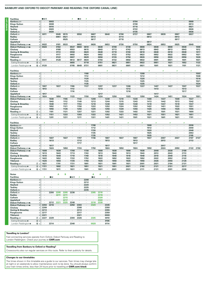#### **BANBURY AND OXFORD TO DIDCOT PARKWAY AND READING (THE OXFORD CANAL LINE)**

| <b>Facilities</b>             |                     | ∎⊞क्र                    |                      |            |                              | ŧ                    | $\blacksquare$ R     | ţ                    |            |              |                      |                      |         | ¥                    |              |         |                 |         |              | ı          |            | Ą            |                      | 4                    |
|-------------------------------|---------------------|--------------------------|----------------------|------------|------------------------------|----------------------|----------------------|----------------------|------------|--------------|----------------------|----------------------|---------|----------------------|--------------|---------|-----------------|---------|--------------|------------|------------|--------------|----------------------|----------------------|
| Banbury s                     | $\mathsf{d}$        |                          | 0003                 |            |                              |                      |                      |                      |            |              |                      |                      |         |                      | 0704         |         |                 |         |              |            |            |              | 0909                 |                      |
| <b>Kings Sutton</b>           | $\mathcal{C}$       |                          | 0008                 |            |                              |                      |                      |                      |            |              |                      |                      |         |                      | 0708         |         |                 |         |              |            |            |              | 0913                 |                      |
| Heyford                       | d                   |                          | 0016                 |            |                              |                      |                      |                      |            |              |                      |                      |         |                      | 0716         |         |                 |         |              |            |            |              | 0921                 |                      |
| <b>Tackley</b>                | d                   |                          | 0020                 | $\cdot$    | ٠                            |                      |                      |                      |            |              |                      |                      | $\cdot$ | ٠                    | 0722         | ٠       | $\cdot$         |         |              | ٠          |            |              | 0926                 | $\cdot$              |
| Oxford $=$                    | a                   |                          | 0030                 |            |                              |                      |                      |                      |            |              |                      |                      |         |                      | 0735         |         |                 |         |              |            |            |              | 0936                 | $\sim$               |
| Oxford $\equiv$               | d                   | 0011                     | $\ddot{\phantom{a}}$ | 0045       | 0515                         | ÷.                   | 0550                 | l.                   | 0607       |              | 0640                 | ÷,                   | 0708    | $\ddot{\phantom{a}}$ | 0737         | l.      | 0807            |         | 0839         | l.         | 0907       | ÷,           | 0937                 | $\ddot{\phantom{a}}$ |
| Radley                        | d                   |                          |                      | 0051       | 0521                         |                      |                      |                      | 0613       |              |                      |                      | 0714    |                      |              |         | 0813            |         |              |            | 0913       |              |                      |                      |
| Culham<br>Appleford           | d<br>d              |                          |                      | $\epsilon$ | 0525<br>$\ddot{\phantom{0}}$ |                      |                      |                      | 0617       |              | ï                    |                      | 0718    | l,                   |              |         | $\cdot$<br>0817 |         |              | ×,         | 0917       |              | i,                   |                      |
| Didcot Parkway = mi           | a                   | 0022                     | $\cdot$              | 0101       | 0533                         |                      | 0602                 | $\ddot{\phantom{a}}$ | 0626       |              | 0653                 |                      | 0726    | ÷.                   | 0750         |         | 0824            |         | 0853         | ٠          | 0925       |              | 0949                 | $\cdot$              |
| Didcot Parkway sawi           | d                   | 0024                     | $\cdot$              | 0102       | ÷,                           | 0547                 | 0604                 | 0610                 |            | 0638         |                      | 0708                 |         | 0738                 |              | 0808    | $\cdot$         | 0838    |              | 0908       |            | 0938         | $\cdot$              | 1006                 |
| Cholsey                       | $\mathcal{C}$       |                          |                      | 0108       | $\epsilon$                   | 0553                 | $\ddot{\phantom{a}}$ | 0615                 | $\cdot$    | 0643         |                      | 0713                 | $\cdot$ | 0743                 | $\cdot$      | 0813    | $\cdot$         | 0843    | $\cdot$      | 0913       | $\cdot$    | 0943         | $\cdot$              | 1012                 |
| <b>Goring &amp; Streatley</b> | d                   |                          |                      | 0113       |                              | 0558                 |                      | 0620                 |            | 0648         |                      | 0718                 |         | 0748                 |              | 0818    |                 | 0848    |              | 0918       |            | 0948         |                      | 1017                 |
| Pangbourne                    | d                   |                          |                      | 0117       | $\cdot$                      | 0602                 | ٠                    | 0624                 | ä,         | 0652         | ı,                   | 0722                 |         | 0752                 |              | 0822    | $\cdot$         | 0852    |              | 0922       |            | 0952         | $\cdot$              | 1021                 |
| <b>Tilehurst</b>              | $\mathsf{d}$        |                          |                      | 0122       |                              | 0607                 |                      | 0628                 |            | 0656         |                      | 0726                 |         | 0756                 |              | 0826    |                 | 0856    |              | 0926       |            | 0956         |                      | 1026                 |
| Reading $\equiv$              | $\circledcirc$ a    | 0041                     | J.                   | 0128       | J.                           | 0612                 | 0617                 | 0634                 | $\epsilon$ | 0703         | i.                   | 0732                 | ł,      | 0802                 | ä,           | 0832    | ä,              | 0901    | i,           | 0931       | $\epsilon$ | 1001         | $\epsilon$           | 1031                 |
| Ealing Broadway $\Theta$      | $\circled{3}$ a     | $\cdot$                  |                      |            |                              | 0655                 | $\cdot$              | 0718                 | $\epsilon$ | 0751         | $\cdot$              | 0821                 |         | 0851                 | $\cdot$      | 0922    | $\cdot$         | 0951    |              | 1021       |            | 1052         | $\cdot$              | 1123                 |
| London Paddington $\bullet$   | ⑮ a                 | 0120                     |                      |            |                              | 0705                 | 0649                 | 0731                 | $\epsilon$ | 0801         | ı,                   | 0831                 |         | 0901                 | $\cdot$      | 0931    | $\cdot$         | 1001    | ä,           | 1031       | $\cdot$    | 1101         | $\cdot$              | 1131                 |
|                               |                     |                          |                      |            |                              |                      |                      |                      |            |              |                      |                      |         |                      |              |         |                 |         |              |            |            |              |                      |                      |
| <b>Facilities</b>             |                     |                          |                      |            |                              |                      |                      |                      | ¢          |              |                      |                      |         |                      |              |         | ¢               |         |              |            |            |              | ¥                    |                      |
| Banbury s                     | d                   |                          |                      |            |                              |                      |                      | 1108                 |            |              |                      |                      |         |                      |              | 1308    | $\lambda$       |         |              |            |            |              |                      | 1503                 |
| <b>Kings Sutton</b>           | d                   |                          |                      |            |                              |                      |                      | 1112                 |            |              |                      |                      |         |                      |              | 1312    | ä,              |         |              |            |            |              |                      | 1508                 |
| Heyford                       | $\mathsf{d}$        |                          |                      |            |                              |                      |                      | 1120                 |            |              |                      |                      |         |                      |              | 1320    |                 |         |              |            |            |              |                      | 1516                 |
| <b>Tackley</b>                | $\mathsf{C}$        |                          |                      |            |                              |                      |                      | 1125                 |            |              |                      |                      |         |                      |              | 1325    |                 |         |              |            |            |              |                      | 1521                 |
| Oxford $\equiv$               | a                   |                          |                      |            |                              |                      |                      | 1135                 |            |              |                      |                      |         |                      |              | 1335    |                 |         |              |            |            |              |                      | 1534                 |
| Oxford $\equiv$               | d                   | 1007                     | $\ddot{\phantom{a}}$ | 1037       | $\ddot{\phantom{a}}$         | 1106                 | $\cdot$              | 1137                 | $\cdot$    | 1207         | $\ddot{\phantom{a}}$ | 1237                 |         | 1306                 |              | 1337    | $\cdot$         | 1407    |              | 1437       | $\cdot$    | 1507         | $\ddot{\phantom{a}}$ | 1537                 |
| Radley                        | d<br>$\mathcal{C}$  | 1013                     |                      |            |                              | 1112<br>1116         |                      |                      |            | 1213         | ï                    | $\cdot$              |         | 1312<br>1316         | $\cdot$      | ٠       | ä,              | 1413    |              |            |            | 1513<br>1517 | ٠                    |                      |
| Culham<br><b>Appleford</b>    | d                   | 1017                     |                      |            |                              |                      |                      |                      |            | 1217         |                      |                      |         |                      |              |         |                 | 1417    |              |            |            | $\cdot$      | $\cdot$              |                      |
| Didcot Parkway <i>s</i> awi   | a                   | 1024                     | ×,                   | 1050       |                              | 1123                 |                      | 1150                 |            | 1224         |                      | 1250                 |         | 1323                 |              | 1350    |                 | 1424    |              | 1451       |            | 1524         | $\cdot$              | 1551                 |
| Didcot Parkway = ww           | d                   |                          | 1038                 |            | 1106                         |                      | 1143                 |                      | 1208       |              | 1238                 |                      | 1310    |                      | 1338         |         | 1408            |         | 1437         |            | 1508       | $\cdot$      | 1537                 |                      |
| Cholsey                       | d                   | ٠                        | 1043                 | $\cdot$    | 1112                         | $\cdot$              | 1149                 | $\cdot$              | 1213       | $\cdot$      | 1244                 | $\cdot$              | 1315    | $\cdot$              | 1343         | ٠       | 1413            | $\cdot$ | 1442         | ٠          | 1513       | $\cdot$      | 1542                 | $\cdot$              |
| <b>Goring &amp; Streatley</b> | d                   |                          | 1048                 |            | 1117                         |                      | 1154                 |                      | 1218       |              | 1248                 |                      | 1320    |                      | 1348         |         | 1418            |         | 1447         |            | 1518       |              | 1547                 |                      |
| Pangbourne                    | d                   |                          | 1052                 | $\cdot$    | 1121                         | $\ddot{\phantom{a}}$ | 1158                 | $\epsilon$           | 1222       | $\cdot$      | 1252                 | $\ddot{\phantom{a}}$ | 1324    | $\epsilon$           | 1352         | $\cdot$ | 1422            | $\cdot$ | 1451         | $\epsilon$ | 1522       | $\cdot$      | 1551                 | $\cdot$              |
| <b>Tilehurst</b>              | d                   |                          | 1056                 |            | 1126                         |                      | 1202                 |                      | 1226       |              | 1256                 |                      | 1328    |                      | 1356         |         | 1426            |         | 1456         |            | 1526       |              | 1555                 |                      |
| Reading                       | $\circledcirc$ a    |                          | 1101                 |            | 1131                         |                      | 1207                 | $\ddot{\phantom{a}}$ | 1231       |              | 1302                 |                      | 1333    | ä,                   | 1402         |         | 1431            |         | 1501         | ×.         | 1531       |              | 1600                 |                      |
| Ealing Broadway $\bullet$     | ③a                  | ÷,                       | 1151                 |            | 1222                         | $\cdot$              | 1303                 | ÷,                   | 1322       |              | 1352                 |                      | 1421    | ÷,                   | 1452         |         | 1521            |         | 1551         | ÷,         | 1621       |              | 1651                 | $\epsilon$           |
| London Paddington $\Theta$    | $15 a$              |                          | 1201                 |            | 1231                         |                      | 1311                 |                      | 1331       |              | 1401                 |                      | 1431    |                      | 1501         |         | 1531            |         | 1601         |            | 1631       |              | 1701                 | $\cdot$              |
|                               |                     |                          |                      |            |                              |                      |                      |                      |            |              |                      |                      |         |                      |              |         |                 |         |              |            |            |              |                      |                      |
| <b>Facilities</b>             |                     | ı                        |                      |            |                              |                      |                      | 4                    |            | ٠            |                      |                      |         |                      |              | 4       |                 |         |              |            |            | ¥            |                      |                      |
| Banbury s                     | d                   | $\overline{\phantom{a}}$ |                      |            |                              |                      |                      |                      | 1708       | $\mathbf{r}$ |                      |                      |         |                      |              | $\cdot$ | 1908            |         |              |            |            | $\epsilon$   | 2036                 | $\sim$               |
| <b>Kings Sutton</b>           | d                   |                          |                      |            |                              |                      |                      |                      | 1712       |              |                      |                      |         |                      |              |         | 1912            |         |              |            |            |              | 2040                 |                      |
| Heyford                       | d                   |                          |                      |            |                              |                      |                      |                      | 1720       |              |                      |                      |         |                      |              |         | 1920            |         |              |            |            |              | 2048                 |                      |
| <b>Tackley</b>                | d                   |                          |                      |            |                              |                      |                      |                      | 1725       |              |                      |                      |         |                      |              |         | 1925            |         |              |            |            |              | 2053                 | $\cdot$              |
| Oxford $\equiv$               | a                   |                          |                      |            |                              |                      |                      |                      | 1735       |              |                      |                      |         |                      |              |         | 1935            |         |              |            |            |              | 2105                 |                      |
| Oxford $\equiv$<br>Radley     | d<br>d              | ×                        | 1607<br>1613         | $\cdot$    | 1637                         | $\cdot$              | 1707<br>1713         | ×                    | 1736       | $\cdot$      | 1807<br>1813         |                      | 1837    | $\cdot$              | 1907<br>1913 | $\cdot$ | 1937            | $\cdot$ | 2007<br>2013 | $\cdot$    | 2037       | $\cdot$      | 2107<br>2113         | 2137                 |
| Culham                        | d                   | ٠                        |                      |            |                              |                      | 1717                 | ٠                    | $\cdot$    |              |                      |                      |         | ٠                    | 1917         | $\cdot$ | $\cdot$         |         |              | ٠          |            |              | $\cdot$              |                      |
| Appleford                     | d                   |                          | 1617                 |            |                              |                      |                      |                      |            |              | 1817                 |                      |         |                      |              |         |                 |         | 2017         |            |            |              |                      |                      |
| Didcot Parkway = mi           | a                   |                          | 1624                 |            | 1650                         | $\cdot$              | 1724                 | ٠                    | 1750       |              | 1824                 | ٠                    | 1850    | $\cdot$              | 1924         |         | 1950            | ٠       | 2024         | ٠          | 2050       |              | 2122                 | 2150                 |
| Didcot Parkway = Wi           | d                   | 1608                     | $\cdot$              | 1638       |                              | 1708                 |                      | 1738                 |            | 1808         |                      | 1838                 |         | 1908                 |              | 1938    |                 | 2008    |              | 2038       |            | 2108         |                      |                      |
| Cholsey                       | $\mathsf{C}$        | 1613                     | $\cdot$              | 1643       |                              | 1713                 | $\cdot$              | 1743                 |            | 1813         | ı,                   | 1843                 | $\cdot$ | 1913                 | $\cdot$      | 1943    | $\blacksquare$  | 2013    |              | 2043       | $\cdot$    | 2113         |                      |                      |
| <b>Goring &amp; Streatley</b> | $\mathsf{C}$        | 1618                     |                      | 1648       |                              | 1718                 |                      | 1748                 |            | 1818         |                      | 1848                 |         | 1918                 |              | 1948    |                 | 2018    |              | 2048       |            | 2118         |                      |                      |
| Pangbourne                    | $\mathsf{C}$        | 1622                     | ٠                    | 1652       | $\cdot$                      | 1722                 | $\cdot$              | 1752                 | $\cdot$    | 1822         | ı,                   | 1852                 | ٠       | 1922                 | $\cdot$      | 1952    | $\cdot$         | 2022    | $\cdot$      | 2052       | $\cdot$    | 2122         | $\cdot$              |                      |
| <b>Tilehurst</b>              | $\mathsf{C}$        | 1626                     |                      | 1656       |                              | 1726                 |                      | 1756                 |            | 1826         |                      | 1856                 |         | 1926                 |              | 1956    |                 | 2026    |              | 2056       |            | 2126         |                      |                      |
| Reading                       | $①$ a               | 1631                     | $\cdot$              | 1701       | $\cdot$                      | 1731                 | $\cdot$              | 1801                 | $\cdot$    | 1831         | $\cdot$              | 1901                 | $\cdot$ | 1931                 | $\cdot$      | 2001    | $\cdot$         | 2031    | $\cdot$      | 2104       | $\cdot$    | 2131         | $\cdot$              | $\cdot$              |
| Ealing Broadway $\Theta$      | $3$ a               | 1721                     | $\cdot$              | 1802       | $\cdot$                      | 1821                 |                      | 1851                 | ÷,         | 1921         | $\cdot$              | 1951                 |         | 2021                 |              | 2102    |                 | 2121    |              | 2151       |            | 2217         |                      |                      |
| London Paddington $\Theta$    | $15$ a              | 1731                     | $\ddot{\phantom{a}}$ | 1811       | $\epsilon$                   | 1831                 |                      | 1901                 | $\cdot$    | 1931         | $\ddot{\phantom{a}}$ | 2001                 |         | 2031                 |              | 2111    | ÷,              | 2131    |              | 2201       |            | 2226         |                      |                      |
|                               |                     |                          |                      |            |                              |                      |                      |                      |            |              |                      |                      |         |                      |              |         |                 |         |              |            |            |              |                      |                      |
| <b>Notes</b>                  |                     |                          |                      | А          | в                            |                      |                      |                      | А          | A            |                      |                      |         |                      |              |         |                 |         |              |            |            |              |                      |                      |
| <b>Facilities</b>             |                     | ł                        | I R                  |            |                              | ■੩ਲ਼                 | Ŧ                    |                      | ΠR         |              |                      |                      |         |                      |              |         |                 |         |              |            |            |              |                      |                      |
| Banbury s                     | $\mathsf{d}$        | $\cdot$                  |                      |            |                              |                      |                      | 2208                 |            |              | ÷.                   |                      |         |                      |              |         |                 |         |              |            |            |              |                      |                      |
| <b>Kings Sutton</b>           | $\mathsf{C}$        |                          |                      |            |                              |                      |                      | 2212                 |            |              |                      |                      |         |                      |              |         |                 |         |              |            |            |              |                      |                      |
| Heyford                       | d                   |                          |                      |            |                              |                      |                      | 2220<br>2225         |            |              |                      |                      |         |                      |              |         |                 |         |              |            |            |              |                      |                      |
| <b>Tackley</b><br>Oxford $=$  | d<br>$\overline{a}$ | $\cdot$                  |                      |            |                              |                      |                      | 2235                 | ×          |              |                      |                      |         |                      |              |         |                 |         |              |            |            |              |                      |                      |
|                               |                     |                          |                      |            |                              |                      |                      |                      |            |              |                      |                      |         |                      |              |         |                 |         |              |            |            |              |                      |                      |

| Oxford $\equiv$               | d                   | ٠    | 2200      | 2205 | 2205 | 2236      |      | ٠ | 2305 | 2310 | ٠         |
|-------------------------------|---------------------|------|-----------|------|------|-----------|------|---|------|------|-----------|
| Radley                        | d                   | ٠    | ٠         | 2211 | 2211 | ٠         | ٠    | ٠ |      | 2316 | ٠         |
| Culham                        | d                   | ٠    | ٠         | ٠    | 2215 | $\cdot$   |      |   | ٠    | 2320 | ٠         |
| Appleford                     | d                   | ٠    | ٠         | ٠    | 2217 | $\bullet$ |      | ٠ | ٠    | 2322 | $\bullet$ |
| Didcot Parkway = wi           | a                   | ٠    | 2212      | 2221 | 2225 | 2248      | ٠    | ٠ | 2318 | 2330 | ٠         |
| Didcot Parkway string         | d                   | 2204 | 2216      |      |      | 2250      | 2303 | ٠ | 2320 |      | 2345      |
| Cholsey                       | d                   | 2209 | ٠         | ٠    | ٠    | ٠         | 2308 | ٠ | ٠    | ٠    | 2350      |
| <b>Goring &amp; Streatley</b> | d                   | 2213 | $\bullet$ |      |      | $\cdot$   | 2313 | ٠ | ٠    | ٠    | 2355      |
| Pangbourne                    | d                   | 2217 | ٠         | ٠    |      | ٠         | 2317 | ٠ |      | ٠    | 2359      |
| Tilehurst                     | d                   | 2221 | ٠         |      |      | $\bullet$ | 2321 | ٠ |      | ٠    | 0003      |
| Reading $\equiv$              | (7)<br>a            | 2227 | 2229      | ٠    | ٠    | 2304      | 2326 | ٠ | 2335 | ٠    | 0010      |
| Ealing Broadway $\bullet$     | 3<br>a              | ٠    | ٠         |      | ٠    | ٠         | ٠    | ٠ |      | ٠    | 0106      |
| London Paddington $\bullet$   | $^{\circledR}$<br>a | ٠    | 2314      | ٠    | ٠    | 2340      | ٠    | ٠ | 0020 | ٠    | 0114      |

#### **Travelling to London?**

**CHOLMS** 

Fast connecting services operate from Oxford, Didcot Parkway and Reading to London Paddington. Check your journey at **GWR.com**

#### **Travelling from Banbury to Oxford or Reading?**

Crosscountry also run regular services on this route. Refer to their publicity for details.

#### **Changes to our timetables**